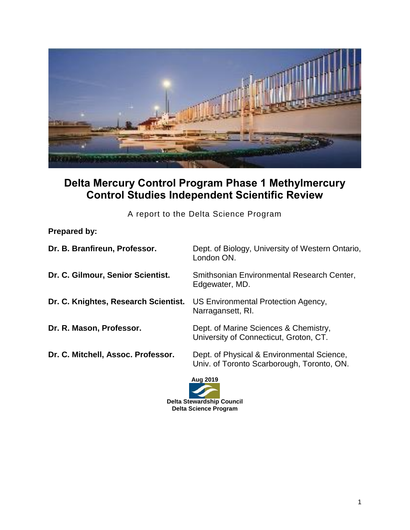

## **Delta Mercury Control Program Phase 1 Methylmercury Control Studies Independent Scientific Review**

A report to the Delta Science Program

## **Prepared by:**

| Dr. B. Branfireun, Professor.        | Dept. of Biology, University of Western Ontario,<br>London ON.                           |
|--------------------------------------|------------------------------------------------------------------------------------------|
| Dr. C. Gilmour, Senior Scientist.    | Smithsonian Environmental Research Center,<br>Edgewater, MD.                             |
| Dr. C. Knightes, Research Scientist. | US Environmental Protection Agency,<br>Narragansett, RI.                                 |
| Dr. R. Mason, Professor.             | Dept. of Marine Sciences & Chemistry,<br>University of Connecticut, Groton, CT.          |
| Dr. C. Mitchell, Assoc. Professor.   | Dept. of Physical & Environmental Science,<br>Univ. of Toronto Scarborough, Toronto, ON. |

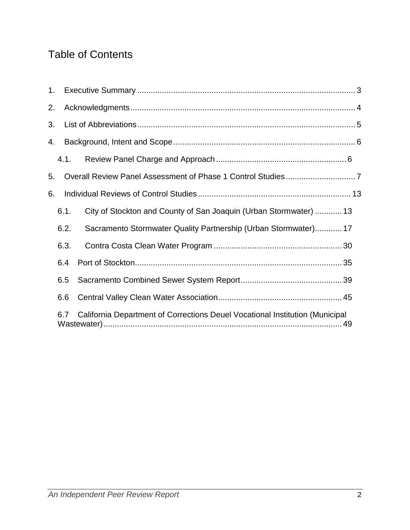# Table of Contents

| $1_{\cdot}$ |      |                                                                              |  |
|-------------|------|------------------------------------------------------------------------------|--|
| 2.          |      |                                                                              |  |
| 3.          |      |                                                                              |  |
| 4.          |      |                                                                              |  |
|             | 4.1. |                                                                              |  |
| 5.          |      |                                                                              |  |
| 6.          |      |                                                                              |  |
|             | 6.1. | City of Stockton and County of San Joaquin (Urban Stormwater)  13            |  |
|             | 6.2. | Sacramento Stormwater Quality Partnership (Urban Stormwater) 17              |  |
|             | 6.3. |                                                                              |  |
|             | 6.4  |                                                                              |  |
|             | 6.5  |                                                                              |  |
|             | 6.6  |                                                                              |  |
|             | 6.7  | California Department of Corrections Deuel Vocational Institution (Municipal |  |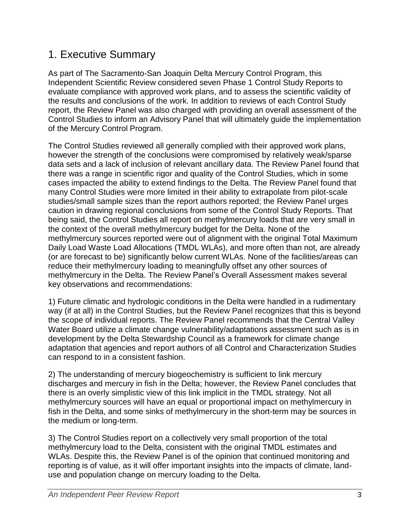## <span id="page-2-0"></span>1. Executive Summary

As part of The Sacramento-San Joaquin Delta Mercury Control Program, this Independent Scientific Review considered seven Phase 1 Control Study Reports to evaluate compliance with approved work plans, and to assess the scientific validity of the results and conclusions of the work. In addition to reviews of each Control Study report, the Review Panel was also charged with providing an overall assessment of the Control Studies to inform an Advisory Panel that will ultimately guide the implementation of the Mercury Control Program.

The Control Studies reviewed all generally complied with their approved work plans, however the strength of the conclusions were compromised by relatively weak/sparse data sets and a lack of inclusion of relevant ancillary data. The Review Panel found that there was a range in scientific rigor and quality of the Control Studies, which in some cases impacted the ability to extend findings to the Delta. The Review Panel found that many Control Studies were more limited in their ability to extrapolate from pilot-scale studies/small sample sizes than the report authors reported; the Review Panel urges caution in drawing regional conclusions from some of the Control Study Reports. That being said, the Control Studies all report on methylmercury loads that are very small in the context of the overall methylmercury budget for the Delta. None of the methylmercury sources reported were out of alignment with the original Total Maximum Daily Load Waste Load Allocations (TMDL WLAs), and more often than not, are already (or are forecast to be) significantly below current WLAs. None of the facilities/areas can reduce their methylmercury loading to meaningfully offset any other sources of methylmercury in the Delta. The Review Panel's Overall Assessment makes several key observations and recommendations:

1) Future climatic and hydrologic conditions in the Delta were handled in a rudimentary way (if at all) in the Control Studies, but the Review Panel recognizes that this is beyond the scope of individual reports. The Review Panel recommends that the Central Valley Water Board utilize a climate change vulnerability/adaptations assessment such as is in development by the Delta Stewardship Council as a framework for climate change adaptation that agencies and report authors of all Control and Characterization Studies can respond to in a consistent fashion.

2) The understanding of mercury biogeochemistry is sufficient to link mercury discharges and mercury in fish in the Delta; however, the Review Panel concludes that there is an overly simplistic view of this link implicit in the TMDL strategy. Not all methylmercury sources will have an equal or proportional impact on methylmercury in fish in the Delta, and some sinks of methylmercury in the short-term may be sources in the medium or long-term.

3) The Control Studies report on a collectively very small proportion of the total methylmercury load to the Delta, consistent with the original TMDL estimates and WLAs. Despite this, the Review Panel is of the opinion that continued monitoring and reporting is of value, as it will offer important insights into the impacts of climate, landuse and population change on mercury loading to the Delta.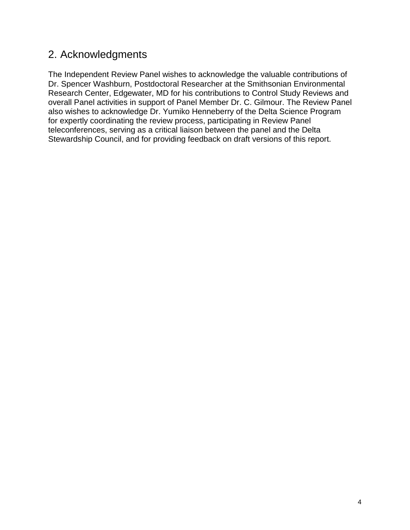## <span id="page-3-0"></span>2. Acknowledgments

The Independent Review Panel wishes to acknowledge the valuable contributions of Dr. Spencer Washburn, Postdoctoral Researcher at the Smithsonian Environmental Research Center, Edgewater, MD for his contributions to Control Study Reviews and overall Panel activities in support of Panel Member Dr. C. Gilmour. The Review Panel also wishes to acknowledge Dr. Yumiko Henneberry of the Delta Science Program for expertly coordinating the review process, participating in Review Panel teleconferences, serving as a critical liaison between the panel and the Delta Stewardship Council, and for providing feedback on draft versions of this report.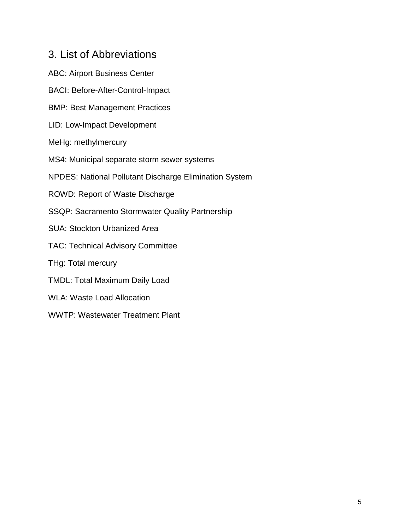## <span id="page-4-0"></span>3. List of Abbreviations

ABC: Airport Business Center BACI: Before-After-Control-Impact BMP: Best Management Practices LID: Low-Impact Development MeHg: methylmercury MS4: Municipal separate storm sewer systems NPDES: National Pollutant Discharge Elimination System ROWD: Report of Waste Discharge SSQP: Sacramento Stormwater Quality Partnership SUA: Stockton Urbanized Area TAC: Technical Advisory Committee THg: Total mercury TMDL: Total Maximum Daily Load WLA: Waste Load Allocation WWTP: Wastewater Treatment Plant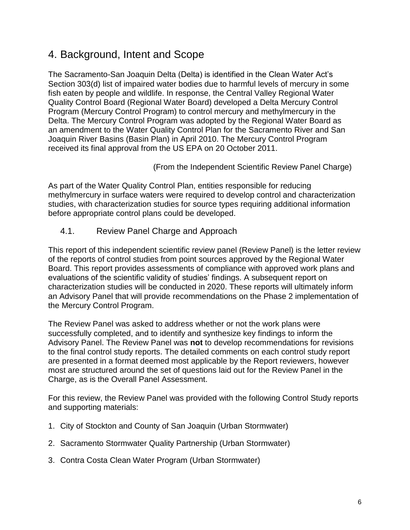## <span id="page-5-0"></span>4. Background, Intent and Scope

The Sacramento-San Joaquin Delta (Delta) is identified in the Clean Water Act's Section 303(d) list of impaired water bodies due to harmful levels of mercury in some fish eaten by people and wildlife. In response, the Central Valley Regional Water Quality Control Board (Regional Water Board) developed a Delta Mercury Control Program (Mercury Control Program) to control mercury and methylmercury in the Delta. The Mercury Control Program was adopted by the Regional Water Board as an amendment to the Water Quality Control Plan for the Sacramento River and San Joaquin River Basins (Basin Plan) in April 2010. The Mercury Control Program received its final approval from the US EPA on 20 October 2011.

(From the Independent Scientific Review Panel Charge)

As part of the Water Quality Control Plan, entities responsible for reducing methylmercury in surface waters were required to develop control and characterization studies, with characterization studies for source types requiring additional information before appropriate control plans could be developed.

<span id="page-5-1"></span>4.1. Review Panel Charge and Approach

This report of this independent scientific review panel (Review Panel) is the letter review of the reports of control studies from point sources approved by the Regional Water Board. This report provides assessments of compliance with approved work plans and evaluations of the scientific validity of studies' findings. A subsequent report on characterization studies will be conducted in 2020. These reports will ultimately inform an Advisory Panel that will provide recommendations on the Phase 2 implementation of the Mercury Control Program.

The Review Panel was asked to address whether or not the work plans were successfully completed, and to identify and synthesize key findings to inform the Advisory Panel. The Review Panel was **not** to develop recommendations for revisions to the final control study reports. The detailed comments on each control study report are presented in a format deemed most applicable by the Report reviewers, however most are structured around the set of questions laid out for the Review Panel in the Charge, as is the Overall Panel Assessment.

For this review, the Review Panel was provided with the following Control Study reports and supporting materials:

- 1. City of Stockton and County of San Joaquin (Urban Stormwater)
- 2. Sacramento Stormwater Quality Partnership (Urban Stormwater)
- 3. Contra Costa Clean Water Program (Urban Stormwater)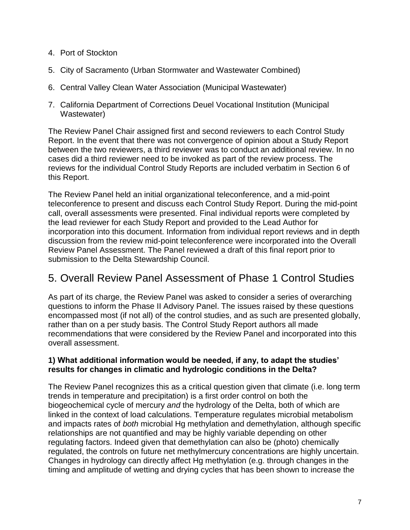- 4. Port of Stockton
- 5. City of Sacramento (Urban Stormwater and Wastewater Combined)
- 6. Central Valley Clean Water Association (Municipal Wastewater)
- 7. California Department of Corrections Deuel Vocational Institution (Municipal Wastewater)

The Review Panel Chair assigned first and second reviewers to each Control Study Report. In the event that there was not convergence of opinion about a Study Report between the two reviewers, a third reviewer was to conduct an additional review. In no cases did a third reviewer need to be invoked as part of the review process. The reviews for the individual Control Study Reports are included verbatim in Section 6 of this Report.

The Review Panel held an initial organizational teleconference, and a mid-point teleconference to present and discuss each Control Study Report. During the mid-point call, overall assessments were presented. Final individual reports were completed by the lead reviewer for each Study Report and provided to the Lead Author for incorporation into this document. Information from individual report reviews and in depth discussion from the review mid-point teleconference were incorporated into the Overall Review Panel Assessment. The Panel reviewed a draft of this final report prior to submission to the Delta Stewardship Council.

## <span id="page-6-0"></span>5. Overall Review Panel Assessment of Phase 1 Control Studies

As part of its charge, the Review Panel was asked to consider a series of overarching questions to inform the Phase II Advisory Panel. The issues raised by these questions encompassed most (if not all) of the control studies, and as such are presented globally, rather than on a per study basis. The Control Study Report authors all made recommendations that were considered by the Review Panel and incorporated into this overall assessment.

## **1) What additional information would be needed, if any, to adapt the studies' results for changes in climatic and hydrologic conditions in the Delta?**

The Review Panel recognizes this as a critical question given that climate (i.e. long term trends in temperature and precipitation) is a first order control on both the biogeochemical cycle of mercury *and* the hydrology of the Delta, both of which are linked in the context of load calculations. Temperature regulates microbial metabolism and impacts rates of *both* microbial Hg methylation and demethylation, although specific relationships are not quantified and may be highly variable depending on other regulating factors. Indeed given that demethylation can also be (photo) chemically regulated, the controls on future net methylmercury concentrations are highly uncertain. Changes in hydrology can directly affect Hg methylation (e.g. through changes in the timing and amplitude of wetting and drying cycles that has been shown to increase the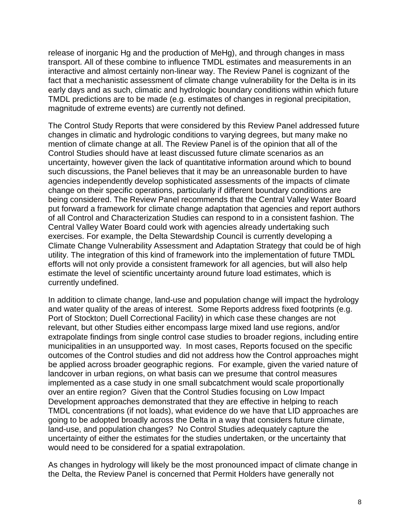release of inorganic Hg and the production of MeHg), and through changes in mass transport. All of these combine to influence TMDL estimates and measurements in an interactive and almost certainly non-linear way. The Review Panel is cognizant of the fact that a mechanistic assessment of climate change vulnerability for the Delta is in its early days and as such, climatic and hydrologic boundary conditions within which future TMDL predictions are to be made (e.g. estimates of changes in regional precipitation, magnitude of extreme events) are currently not defined.

The Control Study Reports that were considered by this Review Panel addressed future changes in climatic and hydrologic conditions to varying degrees, but many make no mention of climate change at all. The Review Panel is of the opinion that all of the Control Studies should have at least discussed future climate scenarios as an uncertainty, however given the lack of quantitative information around which to bound such discussions, the Panel believes that it may be an unreasonable burden to have agencies independently develop sophisticated assessments of the impacts of climate change on their specific operations, particularly if different boundary conditions are being considered. The Review Panel recommends that the Central Valley Water Board put forward a framework for climate change adaptation that agencies and report authors of all Control and Characterization Studies can respond to in a consistent fashion. The Central Valley Water Board could work with agencies already undertaking such exercises. For example, the Delta Stewardship Council is currently developing a Climate Change Vulnerability Assessment and Adaptation Strategy that could be of high utility. The integration of this kind of framework into the implementation of future TMDL efforts will not only provide a consistent framework for all agencies, but will also help estimate the level of scientific uncertainty around future load estimates, which is currently undefined.

In addition to climate change, land-use and population change will impact the hydrology and water quality of the areas of interest. Some Reports address fixed footprints (e.g. Port of Stockton; Duell Correctional Facility) in which case these changes are not relevant, but other Studies either encompass large mixed land use regions, and/or extrapolate findings from single control case studies to broader regions, including entire municipalities in an unsupported way. In most cases, Reports focused on the specific outcomes of the Control studies and did not address how the Control approaches might be applied across broader geographic regions. For example, given the varied nature of landcover in urban regions, on what basis can we presume that control measures implemented as a case study in one small subcatchment would scale proportionally over an entire region? Given that the Control Studies focusing on Low Impact Development approaches demonstrated that they are effective in helping to reach TMDL concentrations (if not loads), what evidence do we have that LID approaches are going to be adopted broadly across the Delta in a way that considers future climate, land-use, and population changes? No Control Studies adequately capture the uncertainty of either the estimates for the studies undertaken, or the uncertainty that would need to be considered for a spatial extrapolation.

As changes in hydrology will likely be the most pronounced impact of climate change in the Delta, the Review Panel is concerned that Permit Holders have generally not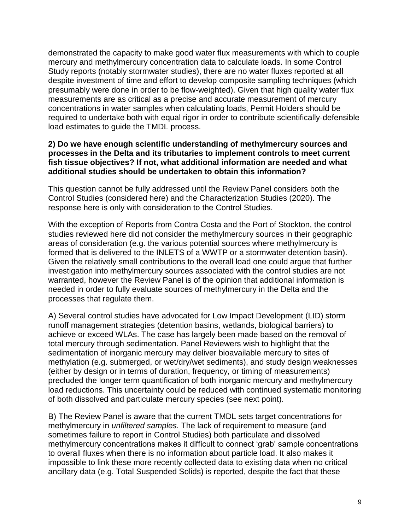demonstrated the capacity to make good water flux measurements with which to couple mercury and methylmercury concentration data to calculate loads. In some Control Study reports (notably stormwater studies), there are no water fluxes reported at all despite investment of time and effort to develop composite sampling techniques (which presumably were done in order to be flow-weighted). Given that high quality water flux measurements are as critical as a precise and accurate measurement of mercury concentrations in water samples when calculating loads, Permit Holders should be required to undertake both with equal rigor in order to contribute scientifically-defensible load estimates to guide the TMDL process.

#### **2) Do we have enough scientific understanding of methylmercury sources and processes in the Delta and its tributaries to implement controls to meet current fish tissue objectives? If not, what additional information are needed and what additional studies should be undertaken to obtain this information?**

This question cannot be fully addressed until the Review Panel considers both the Control Studies (considered here) and the Characterization Studies (2020). The response here is only with consideration to the Control Studies.

With the exception of Reports from Contra Costa and the Port of Stockton, the control studies reviewed here did not consider the methylmercury sources in their geographic areas of consideration (e.g. the various potential sources where methylmercury is formed that is delivered to the INLETS of a WWTP or a stormwater detention basin). Given the relatively small contributions to the overall load one could argue that further investigation into methylmercury sources associated with the control studies are not warranted, however the Review Panel is of the opinion that additional information is needed in order to fully evaluate sources of methylmercury in the Delta and the processes that regulate them.

A) Several control studies have advocated for Low Impact Development (LID) storm runoff management strategies (detention basins, wetlands, biological barriers) to achieve or exceed WLAs. The case has largely been made based on the removal of total mercury through sedimentation. Panel Reviewers wish to highlight that the sedimentation of inorganic mercury may deliver bioavailable mercury to sites of methylation (e.g. submerged, or wet/dry/wet sediments), and study design weaknesses (either by design or in terms of duration, frequency, or timing of measurements) precluded the longer term quantification of both inorganic mercury and methylmercury load reductions. This uncertainty could be reduced with continued systematic monitoring of both dissolved and particulate mercury species (see next point).

B) The Review Panel is aware that the current TMDL sets target concentrations for methylmercury in *unfiltered samples.* The lack of requirement to measure (and sometimes failure to report in Control Studies) both particulate and dissolved methylmercury concentrations makes it difficult to connect 'grab' sample concentrations to overall fluxes when there is no information about particle load. It also makes it impossible to link these more recently collected data to existing data when no critical ancillary data (e.g. Total Suspended Solids) is reported, despite the fact that these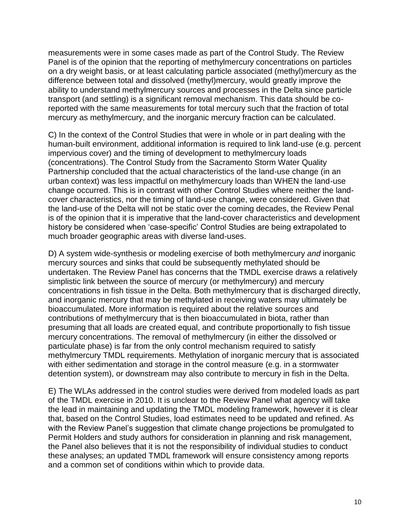measurements were in some cases made as part of the Control Study. The Review Panel is of the opinion that the reporting of methylmercury concentrations on particles on a dry weight basis, or at least calculating particle associated (methyl)mercury as the difference between total and dissolved (methyl)mercury, would greatly improve the ability to understand methylmercury sources and processes in the Delta since particle transport (and settling) is a significant removal mechanism. This data should be coreported with the same measurements for total mercury such that the fraction of total mercury as methylmercury, and the inorganic mercury fraction can be calculated.

C) In the context of the Control Studies that were in whole or in part dealing with the human-built environment, additional information is required to link land-use (e.g. percent impervious cover) and the timing of development to methylmercury loads (concentrations). The Control Study from the Sacramento Storm Water Quality Partnership concluded that the actual characteristics of the land-use change (in an urban context) was less impactful on methylmercury loads than WHEN the land-use change occurred. This is in contrast with other Control Studies where neither the landcover characteristics, nor the timing of land-use change, were considered. Given that the land-use of the Delta will not be static over the coming decades, the Review Penal is of the opinion that it is imperative that the land-cover characteristics and development history be considered when 'case-specific' Control Studies are being extrapolated to much broader geographic areas with diverse land-uses.

D) A system wide-synthesis or modeling exercise of both methylmercury *and* inorganic mercury sources and sinks that could be subsequently methylated should be undertaken. The Review Panel has concerns that the TMDL exercise draws a relatively simplistic link between the source of mercury (or methylmercury) and mercury concentrations in fish tissue in the Delta. Both methylmercury that is discharged directly, and inorganic mercury that may be methylated in receiving waters may ultimately be bioaccumulated. More information is required about the relative sources and contributions of methylmercury that is then bioaccumulated in biota, rather than presuming that all loads are created equal, and contribute proportionally to fish tissue mercury concentrations. The removal of methylmercury (in either the dissolved or particulate phase) is far from the only control mechanism required to satisfy methylmercury TMDL requirements. Methylation of inorganic mercury that is associated with either sedimentation and storage in the control measure (e.g. in a stormwater detention system), or downstream may also contribute to mercury in fish in the Delta.

E) The WLAs addressed in the control studies were derived from modeled loads as part of the TMDL exercise in 2010. It is unclear to the Review Panel what agency will take the lead in maintaining and updating the TMDL modeling framework, however it is clear that, based on the Control Studies, load estimates need to be updated and refined. As with the Review Panel's suggestion that climate change projections be promulgated to Permit Holders and study authors for consideration in planning and risk management, the Panel also believes that it is not the responsibility of individual studies to conduct these analyses; an updated TMDL framework will ensure consistency among reports and a common set of conditions within which to provide data.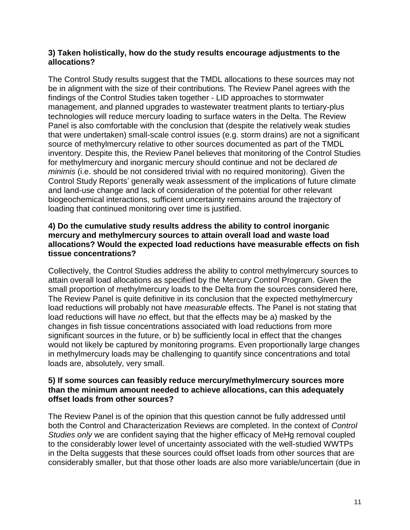## **3) Taken holistically, how do the study results encourage adjustments to the allocations?**

The Control Study results suggest that the TMDL allocations to these sources may not be in alignment with the size of their contributions. The Review Panel agrees with the findings of the Control Studies taken together - LID approaches to stormwater management, and planned upgrades to wastewater treatment plants to tertiary-plus technologies will reduce mercury loading to surface waters in the Delta. The Review Panel is also comfortable with the conclusion that (despite the relatively weak studies that were undertaken) small-scale control issues (e.g. storm drains) are not a significant source of methylmercury relative to other sources documented as part of the TMDL inventory. Despite this, the Review Panel believes that monitoring of the Control Studies for methylmercury and inorganic mercury should continue and not be declared *de minimis* (i.e. should be not considered trivial with no required monitoring). Given the Control Study Reports' generally weak assessment of the implications of future climate and land-use change and lack of consideration of the potential for other relevant biogeochemical interactions, sufficient uncertainty remains around the trajectory of loading that continued monitoring over time is justified.

## **4) Do the cumulative study results address the ability to control inorganic mercury and methylmercury sources to attain overall load and waste load allocations? Would the expected load reductions have measurable effects on fish tissue concentrations?**

Collectively, the Control Studies address the ability to control methylmercury sources to attain overall load allocations as specified by the Mercury Control Program. Given the small proportion of methylmercury loads to the Delta from the sources considered here, The Review Panel is quite definitive in its conclusion that the expected methylmercury load reductions will probably not have *measurable* effects. The Panel is not stating that load reductions will have *no* effect, but that the effects may be a) masked by the changes in fish tissue concentrations associated with load reductions from more significant sources in the future, or b) be sufficiently local in effect that the changes would not likely be captured by monitoring programs. Even proportionally large changes in methylmercury loads may be challenging to quantify since concentrations and total loads are, absolutely, very small.

## **5) If some sources can feasibly reduce mercury/methylmercury sources more than the minimum amount needed to achieve allocations, can this adequately offset loads from other sources?**

The Review Panel is of the opinion that this question cannot be fully addressed until both the Control and Characterization Reviews are completed. In the context of *Control Studies only* we are confident saying that the higher efficacy of MeHg removal coupled to the considerably lower level of uncertainty associated with the well-studied WWTPs in the Delta suggests that these sources could offset loads from other sources that are considerably smaller, but that those other loads are also more variable/uncertain (due in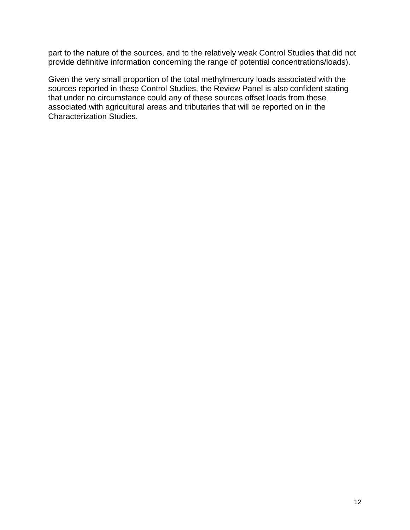part to the nature of the sources, and to the relatively weak Control Studies that did not provide definitive information concerning the range of potential concentrations/loads).

Given the very small proportion of the total methylmercury loads associated with the sources reported in these Control Studies, the Review Panel is also confident stating that under no circumstance could any of these sources offset loads from those associated with agricultural areas and tributaries that will be reported on in the Characterization Studies.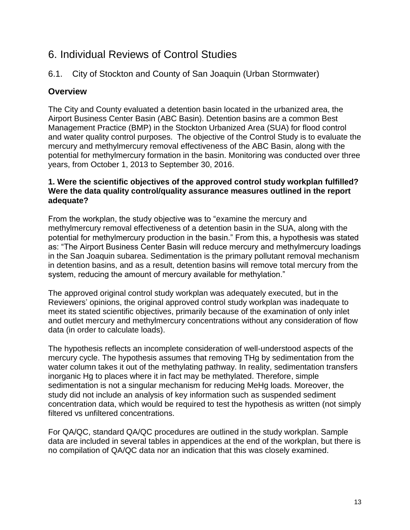## <span id="page-12-0"></span>6. Individual Reviews of Control Studies

## <span id="page-12-1"></span>6.1. City of Stockton and County of San Joaquin (Urban Stormwater)

## **Overview**

The City and County evaluated a detention basin located in the urbanized area, the Airport Business Center Basin (ABC Basin). Detention basins are a common Best Management Practice (BMP) in the Stockton Urbanized Area (SUA) for flood control and water quality control purposes. The objective of the Control Study is to evaluate the mercury and methylmercury removal effectiveness of the ABC Basin, along with the potential for methylmercury formation in the basin. Monitoring was conducted over three years, from October 1, 2013 to September 30, 2016.

## **1. Were the scientific objectives of the approved control study workplan fulfilled? Were the data quality control/quality assurance measures outlined in the report adequate?**

From the workplan, the study objective was to "examine the mercury and methylmercury removal effectiveness of a detention basin in the SUA, along with the potential for methylmercury production in the basin." From this, a hypothesis was stated as: "The Airport Business Center Basin will reduce mercury and methylmercury loadings in the San Joaquin subarea. Sedimentation is the primary pollutant removal mechanism in detention basins, and as a result, detention basins will remove total mercury from the system, reducing the amount of mercury available for methylation."

The approved original control study workplan was adequately executed, but in the Reviewers' opinions, the original approved control study workplan was inadequate to meet its stated scientific objectives, primarily because of the examination of only inlet and outlet mercury and methylmercury concentrations without any consideration of flow data (in order to calculate loads).

The hypothesis reflects an incomplete consideration of well-understood aspects of the mercury cycle. The hypothesis assumes that removing THg by sedimentation from the water column takes it out of the methylating pathway. In reality, sedimentation transfers inorganic Hg to places where it in fact may be methylated. Therefore, simple sedimentation is not a singular mechanism for reducing MeHg loads. Moreover, the study did not include an analysis of key information such as suspended sediment concentration data, which would be required to test the hypothesis as written (not simply filtered vs unfiltered concentrations.

For QA/QC, standard QA/QC procedures are outlined in the study workplan. Sample data are included in several tables in appendices at the end of the workplan, but there is no compilation of QA/QC data nor an indication that this was closely examined.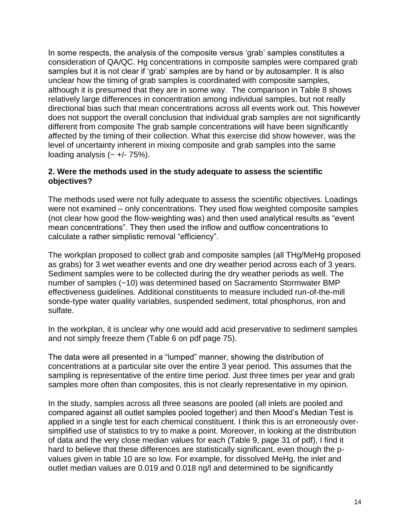In some respects, the analysis of the composite versus 'grab' samples constitutes a consideration of QA/QC. Hg concentrations in composite samples were compared grab samples but it is not clear if 'grab' samples are by hand or by autosampler. It is also unclear how the timing of grab samples is coordinated with composite samples, although it is presumed that they are in some way. The comparison in Table 8 shows relatively large differences in concentration among individual samples, but not really directional bias such that mean concentrations across all events work out. This however does not support the overall conclusion that individual grab samples are not significantly different from composite The grab sample concentrations will have been significantly affected by the timing of their collection. What this exercise did show however, was the level of uncertainty inherent in mixing composite and grab samples into the same loading analysis  $(- +/- 75%)$ .

## **2. Were the methods used in the study adequate to assess the scientific objectives?**

The methods used were not fully adequate to assess the scientific objectives. Loadings were not examined – only concentrations. They used flow weighted composite samples (not clear how good the flow-weighting was) and then used analytical results as "event mean concentrations". They then used the inflow and outflow concentrations to calculate a rather simplistic removal "efficiency".

The workplan proposed to collect grab and composite samples (all THg/MeHg proposed as grabs) for 3 wet weather events and one dry weather period across each of 3 years. Sediment samples were to be collected during the dry weather periods as well. The number of samples (~10) was determined based on Sacramento Stormwater BMP effectiveness guidelines. Additional constituents to measure included run-of-the-mill sonde-type water quality variables, suspended sediment, total phosphorus, iron and sulfate.

In the workplan, it is unclear why one would add acid preservative to sediment samples and not simply freeze them (Table 6 on pdf page 75).

The data were all presented in a "lumped" manner, showing the distribution of concentrations at a particular site over the entire 3 year period. This assumes that the sampling is representative of the entire time period. Just three times per year and grab samples more often than composites, this is not clearly representative in my opinion.

In the study, samples across all three seasons are pooled (all inlets are pooled and compared against all outlet samples pooled together) and then Mood's Median Test is applied in a single test for each chemical constituent. I think this is an erroneously oversimplified use of statistics to try to make a point. Moreover, in looking at the distribution of data and the very close median values for each (Table 9, page 31 of pdf), I find it hard to believe that these differences are statistically significant, even though the pvalues given in table 10 are so low. For example, for dissolved MeHg, the inlet and outlet median values are 0.019 and 0.018 ng/l and determined to be significantly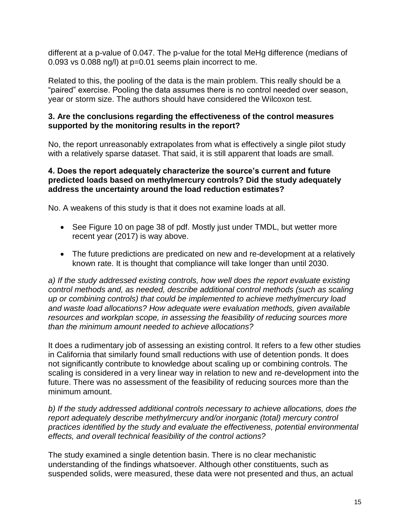different at a p-value of 0.047. The p-value for the total MeHg difference (medians of 0.093 vs 0.088 ng/l) at p=0.01 seems plain incorrect to me.

Related to this, the pooling of the data is the main problem. This really should be a "paired" exercise. Pooling the data assumes there is no control needed over season, year or storm size. The authors should have considered the Wilcoxon test.

## **3. Are the conclusions regarding the effectiveness of the control measures supported by the monitoring results in the report?**

No, the report unreasonably extrapolates from what is effectively a single pilot study with a relatively sparse dataset. That said, it is still apparent that loads are small.

## **4. Does the report adequately characterize the source's current and future predicted loads based on methylmercury controls? Did the study adequately address the uncertainty around the load reduction estimates?**

No. A weakens of this study is that it does not examine loads at all.

- See Figure 10 on page 38 of pdf. Mostly just under TMDL, but wetter more recent year (2017) is way above.
- The future predictions are predicated on new and re-development at a relatively known rate. It is thought that compliance will take longer than until 2030.

*a) If the study addressed existing controls, how well does the report evaluate existing control methods and, as needed, describe additional control methods (such as scaling up or combining controls) that could be implemented to achieve methylmercury load and waste load allocations? How adequate were evaluation methods, given available resources and workplan scope, in assessing the feasibility of reducing sources more than the minimum amount needed to achieve allocations?*

It does a rudimentary job of assessing an existing control. It refers to a few other studies in California that similarly found small reductions with use of detention ponds. It does not significantly contribute to knowledge about scaling up or combining controls. The scaling is considered in a very linear way in relation to new and re-development into the future. There was no assessment of the feasibility of reducing sources more than the minimum amount.

*b) If the study addressed additional controls necessary to achieve allocations, does the report adequately describe methylmercury and/or inorganic (total) mercury control practices identified by the study and evaluate the effectiveness, potential environmental effects, and overall technical feasibility of the control actions?*

The study examined a single detention basin. There is no clear mechanistic understanding of the findings whatsoever. Although other constituents, such as suspended solids, were measured, these data were not presented and thus, an actual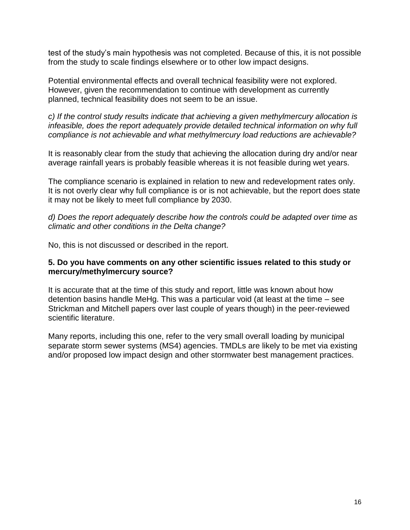test of the study's main hypothesis was not completed. Because of this, it is not possible from the study to scale findings elsewhere or to other low impact designs.

Potential environmental effects and overall technical feasibility were not explored. However, given the recommendation to continue with development as currently planned, technical feasibility does not seem to be an issue.

*c) If the control study results indicate that achieving a given methylmercury allocation is infeasible, does the report adequately provide detailed technical information on why full compliance is not achievable and what methylmercury load reductions are achievable?*

It is reasonably clear from the study that achieving the allocation during dry and/or near average rainfall years is probably feasible whereas it is not feasible during wet years.

The compliance scenario is explained in relation to new and redevelopment rates only. It is not overly clear why full compliance is or is not achievable, but the report does state it may not be likely to meet full compliance by 2030.

*d) Does the report adequately describe how the controls could be adapted over time as climatic and other conditions in the Delta change?*

No, this is not discussed or described in the report.

#### **5. Do you have comments on any other scientific issues related to this study or mercury/methylmercury source?**

It is accurate that at the time of this study and report, little was known about how detention basins handle MeHg. This was a particular void (at least at the time – see Strickman and Mitchell papers over last couple of years though) in the peer-reviewed scientific literature.

Many reports, including this one, refer to the very small overall loading by municipal separate storm sewer systems (MS4) agencies. TMDLs are likely to be met via existing and/or proposed low impact design and other stormwater best management practices.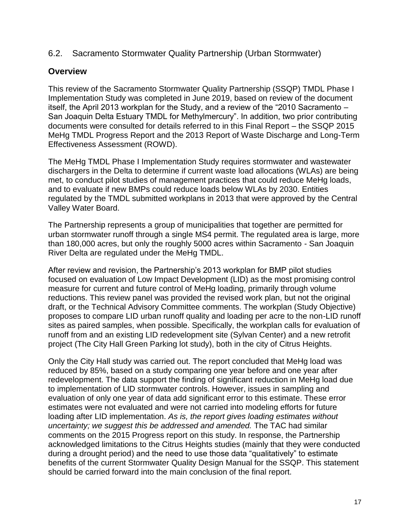<span id="page-16-0"></span>6.2. Sacramento Stormwater Quality Partnership (Urban Stormwater)

## **Overview**

This review of the Sacramento Stormwater Quality Partnership (SSQP) TMDL Phase I Implementation Study was completed in June 2019, based on review of the document itself, the April 2013 workplan for the Study, and a review of the "2010 Sacramento – San Joaquin Delta Estuary TMDL for Methylmercury". In addition, two prior contributing documents were consulted for details referred to in this Final Report – the SSQP 2015 MeHg TMDL Progress Report and the 2013 Report of Waste Discharge and Long-Term Effectiveness Assessment (ROWD).

The MeHg TMDL Phase I Implementation Study requires stormwater and wastewater dischargers in the Delta to determine if current waste load allocations (WLAs) are being met, to conduct pilot studies of management practices that could reduce MeHg loads, and to evaluate if new BMPs could reduce loads below WLAs by 2030. Entities regulated by the TMDL submitted workplans in 2013 that were approved by the Central Valley Water Board.

The Partnership represents a group of municipalities that together are permitted for urban stormwater runoff through a single MS4 permit. The regulated area is large, more than 180,000 acres, but only the roughly 5000 acres within Sacramento - San Joaquin River Delta are regulated under the MeHg TMDL.

After review and revision, the Partnership's 2013 workplan for BMP pilot studies focused on evaluation of Low Impact Development (LID) as the most promising control measure for current and future control of MeHg loading, primarily through volume reductions. This review panel was provided the revised work plan, but not the original draft, or the Technical Advisory Committee comments. The workplan (Study Objective) proposes to compare LID urban runoff quality and loading per acre to the non-LID runoff sites as paired samples, when possible. Specifically, the workplan calls for evaluation of runoff from and an existing LID redevelopment site (Sylvan Center) and a new retrofit project (The City Hall Green Parking lot study), both in the city of Citrus Heights.

Only the City Hall study was carried out. The report concluded that MeHg load was reduced by 85%, based on a study comparing one year before and one year after redevelopment. The data support the finding of significant reduction in MeHg load due to implementation of LID stormwater controls. However, issues in sampling and evaluation of only one year of data add significant error to this estimate. These error estimates were not evaluated and were not carried into modeling efforts for future loading after LID implementation. *As is, the report gives loading estimates without uncertainty; we suggest this be addressed and amended.* The TAC had similar comments on the 2015 Progress report on this study. In response, the Partnership acknowledged limitations to the Citrus Heights studies (mainly that they were conducted during a drought period) and the need to use those data "qualitatively" to estimate benefits of the current Stormwater Quality Design Manual for the SSQP. This statement should be carried forward into the main conclusion of the final report.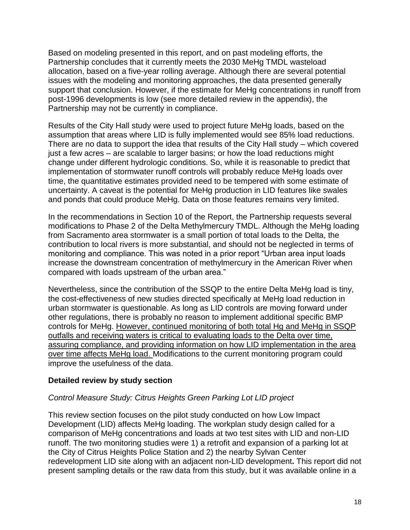Based on modeling presented in this report, and on past modeling efforts, the Partnership concludes that it currently meets the 2030 MeHg TMDL wasteload allocation, based on a five-year rolling average. Although there are several potential issues with the modeling and monitoring approaches, the data presented generally support that conclusion. However, if the estimate for MeHg concentrations in runoff from post-1996 developments is low (see more detailed review in the appendix), the Partnership may not be currently in compliance.

Results of the City Hall study were used to project future MeHg loads, based on the assumption that areas where LID is fully implemented would see 85% load reductions. There are no data to support the idea that results of the City Hall study – which covered just a few acres – are scalable to larger basins; or how the load reductions might change under different hydrologic conditions. So, while it is reasonable to predict that implementation of stormwater runoff controls will probably reduce MeHg loads over time, the quantitative estimates provided need to be tempered with some estimate of uncertainty. A caveat is the potential for MeHg production in LID features like swales and ponds that could produce MeHg. Data on those features remains very limited.

In the recommendations in Section 10 of the Report, the Partnership requests several modifications to Phase 2 of the Delta Methylmercury TMDL. Although the MeHg loading from Sacramento area stormwater is a small portion of total loads to the Delta, the contribution to local rivers is more substantial, and should not be neglected in terms of monitoring and compliance. This was noted in a prior report "Urban area input loads increase the downstream concentration of methylmercury in the American River when compared with loads upstream of the urban area."

Nevertheless, since the contribution of the SSQP to the entire Delta MeHg load is tiny, the cost-effectiveness of new studies directed specifically at MeHg load reduction in urban stormwater is questionable. As long as LID controls are moving forward under other regulations, there is probably no reason to implement additional specific BMP controls for MeHg. However, continued monitoring of both total Hg and MeHg in SSQP outfalls and receiving waters is critical to evaluating loads to the Delta over time, assuring compliance, and providing information on how LID implementation in the area over time affects MeHg load. Modifications to the current monitoring program could improve the usefulness of the data.

## **Detailed review by study section**

## *Control Measure Study: Citrus Heights Green Parking Lot LID project*

This review section focuses on the pilot study conducted on how Low Impact Development (LID) affects MeHg loading. The workplan study design called for a comparison of MeHg concentrations and loads at two test sites with LID and non-LID runoff. The two monitoring studies were 1) a retrofit and expansion of a parking lot at the City of Citrus Heights Police Station and 2) the nearby Sylvan Center redevelopment LID site along with an adjacent non-LID development**.** This report did not present sampling details or the raw data from this study, but it was available online in a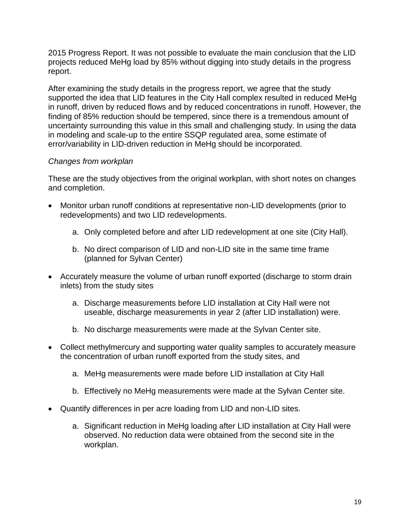2015 Progress Report. It was not possible to evaluate the main conclusion that the LID projects reduced MeHg load by 85% without digging into study details in the progress report.

After examining the study details in the progress report, we agree that the study supported the idea that LID features in the City Hall complex resulted in reduced MeHg in runoff, driven by reduced flows and by reduced concentrations in runoff. However, the finding of 85% reduction should be tempered, since there is a tremendous amount of uncertainty surrounding this value in this small and challenging study. In using the data in modeling and scale-up to the entire SSQP regulated area, some estimate of error/variability in LID-driven reduction in MeHg should be incorporated.

## *Changes from workplan*

These are the study objectives from the original workplan, with short notes on changes and completion.

- Monitor urban runoff conditions at representative non-LID developments (prior to redevelopments) and two LID redevelopments.
	- a. Only completed before and after LID redevelopment at one site (City Hall).
	- b. No direct comparison of LID and non-LID site in the same time frame (planned for Sylvan Center)
- Accurately measure the volume of urban runoff exported (discharge to storm drain inlets) from the study sites
	- a. Discharge measurements before LID installation at City Hall were not useable, discharge measurements in year 2 (after LID installation) were.
	- b. No discharge measurements were made at the Sylvan Center site.
- Collect methylmercury and supporting water quality samples to accurately measure the concentration of urban runoff exported from the study sites, and
	- a. MeHg measurements were made before LID installation at City Hall
	- b. Effectively no MeHg measurements were made at the Sylvan Center site.
- Quantify differences in per acre loading from LID and non-LID sites.
	- a. Significant reduction in MeHg loading after LID installation at City Hall were observed. No reduction data were obtained from the second site in the workplan.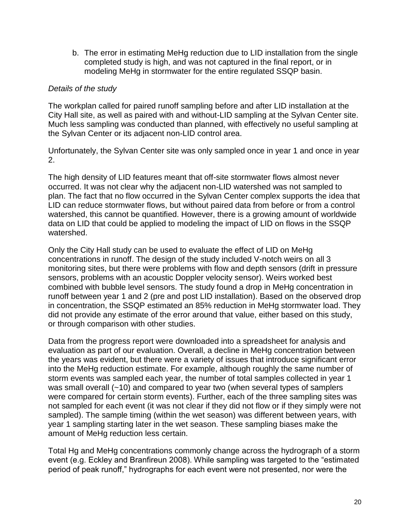b. The error in estimating MeHg reduction due to LID installation from the single completed study is high, and was not captured in the final report, or in modeling MeHg in stormwater for the entire regulated SSQP basin.

## *Details of the study*

The workplan called for paired runoff sampling before and after LID installation at the City Hall site, as well as paired with and without-LID sampling at the Sylvan Center site. Much less sampling was conducted than planned, with effectively no useful sampling at the Sylvan Center or its adjacent non-LID control area.

Unfortunately, the Sylvan Center site was only sampled once in year 1 and once in year 2.

The high density of LID features meant that off-site stormwater flows almost never occurred. It was not clear why the adjacent non-LID watershed was not sampled to plan. The fact that no flow occurred in the Sylvan Center complex supports the idea that LID can reduce stormwater flows, but without paired data from before or from a control watershed, this cannot be quantified. However, there is a growing amount of worldwide data on LID that could be applied to modeling the impact of LID on flows in the SSQP watershed.

Only the City Hall study can be used to evaluate the effect of LID on MeHg concentrations in runoff. The design of the study included V-notch weirs on all 3 monitoring sites, but there were problems with flow and depth sensors (drift in pressure sensors, problems with an acoustic Doppler velocity sensor). Weirs worked best combined with bubble level sensors. The study found a drop in MeHg concentration in runoff between year 1 and 2 (pre and post LID installation). Based on the observed drop in concentration, the SSQP estimated an 85% reduction in MeHg stormwater load. They did not provide any estimate of the error around that value, either based on this study, or through comparison with other studies.

Data from the progress report were downloaded into a spreadsheet for analysis and evaluation as part of our evaluation. Overall, a decline in MeHg concentration between the years was evident, but there were a variety of issues that introduce significant error into the MeHg reduction estimate. For example, although roughly the same number of storm events was sampled each year, the number of total samples collected in year 1 was small overall (~10) and compared to year two (when several types of samplers were compared for certain storm events). Further, each of the three sampling sites was not sampled for each event (it was not clear if they did not flow or if they simply were not sampled). The sample timing (within the wet season) was different between years, with year 1 sampling starting later in the wet season. These sampling biases make the amount of MeHg reduction less certain.

Total Hg and MeHg concentrations commonly change across the hydrograph of a storm event (e.g. Eckley and Branfireun 2008). While sampling was targeted to the "estimated period of peak runoff," hydrographs for each event were not presented, nor were the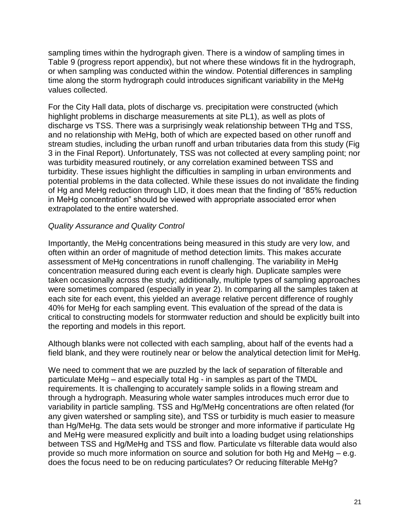sampling times within the hydrograph given. There is a window of sampling times in Table 9 (progress report appendix), but not where these windows fit in the hydrograph, or when sampling was conducted within the window. Potential differences in sampling time along the storm hydrograph could introduces significant variability in the MeHg values collected.

For the City Hall data, plots of discharge vs. precipitation were constructed (which highlight problems in discharge measurements at site PL1), as well as plots of discharge vs TSS. There was a surprisingly weak relationship between THg and TSS, and no relationship with MeHg, both of which are expected based on other runoff and stream studies, including the urban runoff and urban tributaries data from this study (Fig 3 in the Final Report). Unfortunately, TSS was not collected at every sampling point; nor was turbidity measured routinely, or any correlation examined between TSS and turbidity. These issues highlight the difficulties in sampling in urban environments and potential problems in the data collected. While these issues do not invalidate the finding of Hg and MeHg reduction through LID, it does mean that the finding of "85% reduction in MeHg concentration" should be viewed with appropriate associated error when extrapolated to the entire watershed.

## *Quality Assurance and Quality Control*

Importantly, the MeHg concentrations being measured in this study are very low, and often within an order of magnitude of method detection limits. This makes accurate assessment of MeHg concentrations in runoff challenging. The variability in MeHg concentration measured during each event is clearly high. Duplicate samples were taken occasionally across the study; additionally, multiple types of sampling approaches were sometimes compared (especially in year 2). In comparing all the samples taken at each site for each event, this yielded an average relative percent difference of roughly 40% for MeHg for each sampling event. This evaluation of the spread of the data is critical to constructing models for stormwater reduction and should be explicitly built into the reporting and models in this report.

Although blanks were not collected with each sampling, about half of the events had a field blank, and they were routinely near or below the analytical detection limit for MeHg.

We need to comment that we are puzzled by the lack of separation of filterable and particulate MeHg – and especially total Hg - in samples as part of the TMDL requirements. It is challenging to accurately sample solids in a flowing stream and through a hydrograph. Measuring whole water samples introduces much error due to variability in particle sampling. TSS and Hg/MeHg concentrations are often related (for any given watershed or sampling site), and TSS or turbidity is much easier to measure than Hg/MeHg. The data sets would be stronger and more informative if particulate Hg and MeHg were measured explicitly and built into a loading budget using relationships between TSS and Hg/MeHg and TSS and flow. Particulate vs filterable data would also provide so much more information on source and solution for both Hg and MeHg – e.g. does the focus need to be on reducing particulates? Or reducing filterable MeHg?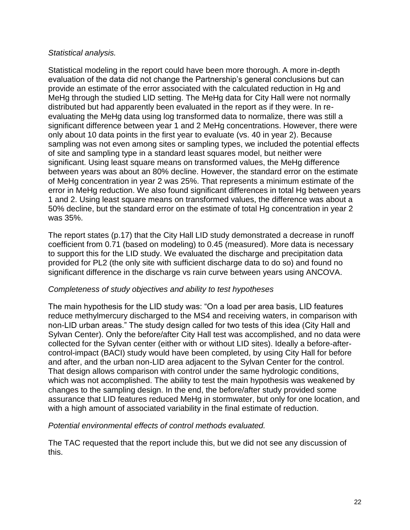## *Statistical analysis.*

Statistical modeling in the report could have been more thorough. A more in-depth evaluation of the data did not change the Partnership's general conclusions but can provide an estimate of the error associated with the calculated reduction in Hg and MeHg through the studied LID setting. The MeHg data for City Hall were not normally distributed but had apparently been evaluated in the report as if they were. In reevaluating the MeHg data using log transformed data to normalize, there was still a significant difference between year 1 and 2 MeHg concentrations. However, there were only about 10 data points in the first year to evaluate (vs. 40 in year 2). Because sampling was not even among sites or sampling types, we included the potential effects of site and sampling type in a standard least squares model, but neither were significant. Using least square means on transformed values, the MeHg difference between years was about an 80% decline. However, the standard error on the estimate of MeHg concentration in year 2 was 25%. That represents a minimum estimate of the error in MeHg reduction. We also found significant differences in total Hg between years 1 and 2. Using least square means on transformed values, the difference was about a 50% decline, but the standard error on the estimate of total Hg concentration in year 2 was 35%.

The report states (p.17) that the City Hall LID study demonstrated a decrease in runoff coefficient from 0.71 (based on modeling) to 0.45 (measured). More data is necessary to support this for the LID study. We evaluated the discharge and precipitation data provided for PL2 (the only site with sufficient discharge data to do so) and found no significant difference in the discharge vs rain curve between years using ANCOVA.

## *Completeness of study objectives and ability to test hypotheses*

The main hypothesis for the LID study was: "On a load per area basis, LID features reduce methylmercury discharged to the MS4 and receiving waters, in comparison with non-LID urban areas." The study design called for two tests of this idea (City Hall and Sylvan Center). Only the before/after City Hall test was accomplished, and no data were collected for the Sylvan center (either with or without LID sites). Ideally a before-aftercontrol-impact (BACI) study would have been completed, by using City Hall for before and after, and the urban non-LID area adjacent to the Sylvan Center for the control. That design allows comparison with control under the same hydrologic conditions, which was not accomplished. The ability to test the main hypothesis was weakened by changes to the sampling design. In the end, the before/after study provided some assurance that LID features reduced MeHg in stormwater, but only for one location, and with a high amount of associated variability in the final estimate of reduction.

*Potential environmental effects of control methods evaluated.* 

The TAC requested that the report include this, but we did not see any discussion of this.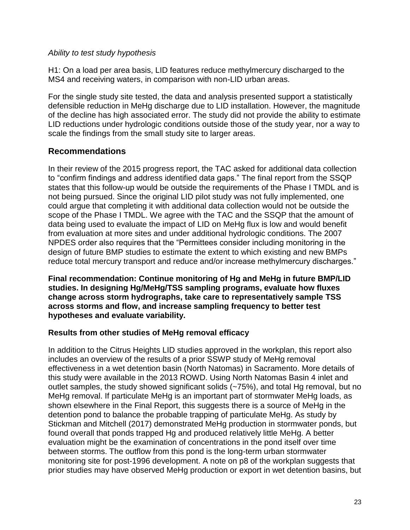## *Ability to test study hypothesis*

H1: On a load per area basis, LID features reduce methylmercury discharged to the MS4 and receiving waters, in comparison with non-LID urban areas.

For the single study site tested, the data and analysis presented support a statistically defensible reduction in MeHg discharge due to LID installation. However, the magnitude of the decline has high associated error. The study did not provide the ability to estimate LID reductions under hydrologic conditions outside those of the study year, nor a way to scale the findings from the small study site to larger areas.

## **Recommendations**

In their review of the 2015 progress report, the TAC asked for additional data collection to "confirm findings and address identified data gaps." The final report from the SSQP states that this follow-up would be outside the requirements of the Phase I TMDL and is not being pursued. Since the original LID pilot study was not fully implemented, one could argue that completing it with additional data collection would not be outside the scope of the Phase I TMDL. We agree with the TAC and the SSQP that the amount of data being used to evaluate the impact of LID on MeHg flux is low and would benefit from evaluation at more sites and under additional hydrologic conditions. The 2007 NPDES order also requires that the "Permittees consider including monitoring in the design of future BMP studies to estimate the extent to which existing and new BMPs reduce total mercury transport and reduce and/or increase methylmercury discharges."

**Final recommendation: Continue monitoring of Hg and MeHg in future BMP/LID studies. In designing Hg/MeHg/TSS sampling programs, evaluate how fluxes change across storm hydrographs, take care to representatively sample TSS across storms and flow, and increase sampling frequency to better test hypotheses and evaluate variability.**

## **Results from other studies of MeHg removal efficacy**

In addition to the Citrus Heights LID studies approved in the workplan, this report also includes an overview of the results of a prior SSWP study of MeHg removal effectiveness in a wet detention basin (North Natomas) in Sacramento. More details of this study were available in the 2013 ROWD. Using North Natomas Basin 4 inlet and outlet samples, the study showed significant solids (~75%), and total Hg removal, but no MeHg removal. If particulate MeHg is an important part of stormwater MeHg loads, as shown elsewhere in the Final Report, this suggests there is a source of MeHg in the detention pond to balance the probable trapping of particulate MeHg. As study by Stickman and Mitchell (2017) demonstrated MeHg production in stormwater ponds, but found overall that ponds trapped Hg and produced relatively little MeHg. A better evaluation might be the examination of concentrations in the pond itself over time between storms. The outflow from this pond is the long-term urban stormwater monitoring site for post-1996 development. A note on p8 of the workplan suggests that prior studies may have observed MeHg production or export in wet detention basins, but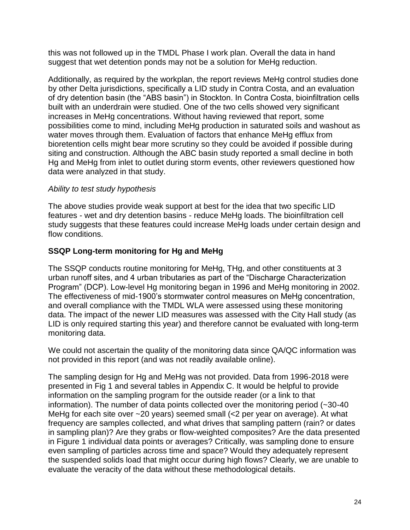this was not followed up in the TMDL Phase I work plan. Overall the data in hand suggest that wet detention ponds may not be a solution for MeHg reduction.

Additionally, as required by the workplan, the report reviews MeHg control studies done by other Delta jurisdictions, specifically a LID study in Contra Costa, and an evaluation of dry detention basin (the "ABS basin") in Stockton. In Contra Costa, bioinfiltration cells built with an underdrain were studied. One of the two cells showed very significant increases in MeHg concentrations. Without having reviewed that report, some possibilities come to mind, including MeHg production in saturated soils and washout as water moves through them. Evaluation of factors that enhance MeHg efflux from bioretention cells might bear more scrutiny so they could be avoided if possible during siting and construction. Although the ABC basin study reported a small decline in both Hg and MeHg from inlet to outlet during storm events, other reviewers questioned how data were analyzed in that study.

## *Ability to test study hypothesis*

The above studies provide weak support at best for the idea that two specific LID features - wet and dry detention basins - reduce MeHg loads. The bioinfiltration cell study suggests that these features could increase MeHg loads under certain design and flow conditions.

## **SSQP Long-term monitoring for Hg and MeHg**

The SSQP conducts routine monitoring for MeHg, THg, and other constituents at 3 urban runoff sites, and 4 urban tributaries as part of the "Discharge Characterization Program" (DCP). Low-level Hg monitoring began in 1996 and MeHg monitoring in 2002. The effectiveness of mid-1900's stormwater control measures on MeHg concentration, and overall compliance with the TMDL WLA were assessed using these monitoring data. The impact of the newer LID measures was assessed with the City Hall study (as LID is only required starting this year) and therefore cannot be evaluated with long-term monitoring data.

We could not ascertain the quality of the monitoring data since QA/QC information was not provided in this report (and was not readily available online).

The sampling design for Hg and MeHg was not provided. Data from 1996-2018 were presented in Fig 1 and several tables in Appendix C. It would be helpful to provide information on the sampling program for the outside reader (or a link to that information). The number of data points collected over the monitoring period (~30-40 MeHg for each site over ~20 years) seemed small (<2 per year on average). At what frequency are samples collected, and what drives that sampling pattern (rain? or dates in sampling plan)? Are they grabs or flow-weighted composites? Are the data presented in Figure 1 individual data points or averages? Critically, was sampling done to ensure even sampling of particles across time and space? Would they adequately represent the suspended solids load that might occur during high flows? Clearly, we are unable to evaluate the veracity of the data without these methodological details.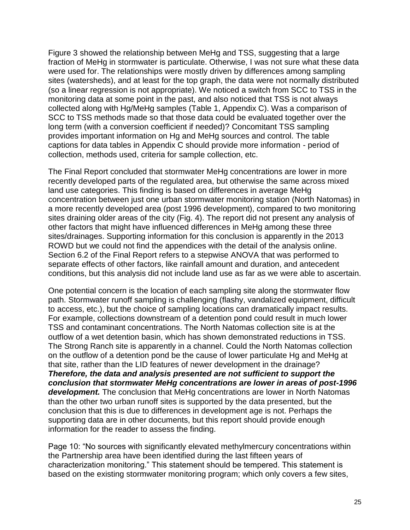Figure 3 showed the relationship between MeHg and TSS, suggesting that a large fraction of MeHg in stormwater is particulate. Otherwise, I was not sure what these data were used for. The relationships were mostly driven by differences among sampling sites (watersheds), and at least for the top graph, the data were not normally distributed (so a linear regression is not appropriate). We noticed a switch from SCC to TSS in the monitoring data at some point in the past, and also noticed that TSS is not always collected along with Hg/MeHg samples (Table 1, Appendix C). Was a comparison of SCC to TSS methods made so that those data could be evaluated together over the long term (with a conversion coefficient if needed)? Concomitant TSS sampling provides important information on Hg and MeHg sources and control. The table captions for data tables in Appendix C should provide more information - period of collection, methods used, criteria for sample collection, etc.

The Final Report concluded that stormwater MeHg concentrations are lower in more recently developed parts of the regulated area, but otherwise the same across mixed land use categories. This finding is based on differences in average MeHg concentration between just one urban stormwater monitoring station (North Natomas) in a more recently developed area (post 1996 development), compared to two monitoring sites draining older areas of the city (Fig. 4). The report did not present any analysis of other factors that might have influenced differences in MeHg among these three sites/drainages. Supporting information for this conclusion is apparently in the 2013 ROWD but we could not find the appendices with the detail of the analysis online. Section 6.2 of the Final Report refers to a stepwise ANOVA that was performed to separate effects of other factors, like rainfall amount and duration, and antecedent conditions, but this analysis did not include land use as far as we were able to ascertain.

One potential concern is the location of each sampling site along the stormwater flow path. Stormwater runoff sampling is challenging (flashy, vandalized equipment, difficult to access, etc.), but the choice of sampling locations can dramatically impact results. For example, collections downstream of a detention pond could result in much lower TSS and contaminant concentrations. The North Natomas collection site is at the outflow of a wet detention basin, which has shown demonstrated reductions in TSS. The Strong Ranch site is apparently in a channel. Could the North Natomas collection on the outflow of a detention pond be the cause of lower particulate Hg and MeHg at that site, rather than the LID features of newer development in the drainage? *Therefore, the data and analysis presented are not sufficient to support the conclusion that stormwater MeHg concentrations are lower in areas of post-1996 development.* The conclusion that MeHg concentrations are lower in North Natomas than the other two urban runoff sites is supported by the data presented, but the conclusion that this is due to differences in development age is not. Perhaps the supporting data are in other documents, but this report should provide enough information for the reader to assess the finding.

Page 10: "No sources with significantly elevated methylmercury concentrations within the Partnership area have been identified during the last fifteen years of characterization monitoring." This statement should be tempered. This statement is based on the existing stormwater monitoring program; which only covers a few sites,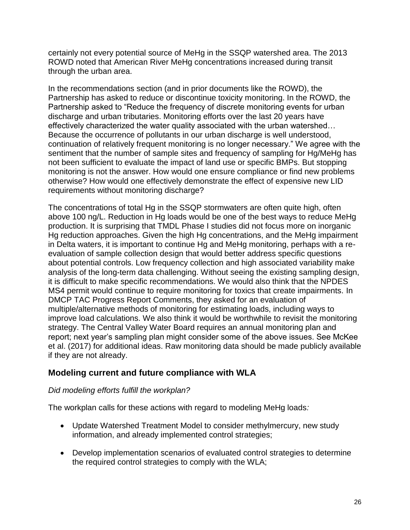certainly not every potential source of MeHg in the SSQP watershed area. The 2013 ROWD noted that American River MeHg concentrations increased during transit through the urban area.

In the recommendations section (and in prior documents like the ROWD), the Partnership has asked to reduce or discontinue toxicity monitoring. In the ROWD, the Partnership asked to "Reduce the frequency of discrete monitoring events for urban discharge and urban tributaries. Monitoring efforts over the last 20 years have effectively characterized the water quality associated with the urban watershed… Because the occurrence of pollutants in our urban discharge is well understood, continuation of relatively frequent monitoring is no longer necessary." We agree with the sentiment that the number of sample sites and frequency of sampling for Hg/MeHg has not been sufficient to evaluate the impact of land use or specific BMPs. But stopping monitoring is not the answer. How would one ensure compliance or find new problems otherwise? How would one effectively demonstrate the effect of expensive new LID requirements without monitoring discharge?

The concentrations of total Hg in the SSQP stormwaters are often quite high, often above 100 ng/L. Reduction in Hg loads would be one of the best ways to reduce MeHg production. It is surprising that TMDL Phase I studies did not focus more on inorganic Hg reduction approaches. Given the high Hg concentrations, and the MeHg impairment in Delta waters, it is important to continue Hg and MeHg monitoring, perhaps with a reevaluation of sample collection design that would better address specific questions about potential controls. Low frequency collection and high associated variability make analysis of the long-term data challenging. Without seeing the existing sampling design, it is difficult to make specific recommendations. We would also think that the NPDES MS4 permit would continue to require monitoring for toxics that create impairments. In DMCP TAC Progress Report Comments, they asked for an evaluation of multiple/alternative methods of monitoring for estimating loads, including ways to improve load calculations. We also think it would be worthwhile to revisit the monitoring strategy. The Central Valley Water Board requires an annual monitoring plan and report; next year's sampling plan might consider some of the above issues. See McKee et al. (2017) for additional ideas. Raw monitoring data should be made publicly available if they are not already.

## **Modeling current and future compliance with WLA**

## *Did modeling efforts fulfill the workplan?*

The workplan calls for these actions with regard to modeling MeHg loads*:*

- Update Watershed Treatment Model to consider methylmercury, new study information, and already implemented control strategies;
- Develop implementation scenarios of evaluated control strategies to determine the required control strategies to comply with the WLA;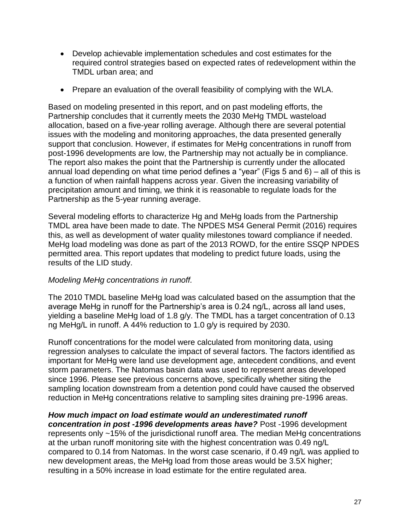- Develop achievable implementation schedules and cost estimates for the required control strategies based on expected rates of redevelopment within the TMDL urban area; and
- Prepare an evaluation of the overall feasibility of complying with the WLA.

Based on modeling presented in this report, and on past modeling efforts, the Partnership concludes that it currently meets the 2030 MeHg TMDL wasteload allocation, based on a five-year rolling average. Although there are several potential issues with the modeling and monitoring approaches, the data presented generally support that conclusion. However, if estimates for MeHg concentrations in runoff from post-1996 developments are low, the Partnership may not actually be in compliance. The report also makes the point that the Partnership is currently under the allocated annual load depending on what time period defines a "year" (Figs 5 and 6) – all of this is a function of when rainfall happens across year. Given the increasing variability of precipitation amount and timing, we think it is reasonable to regulate loads for the Partnership as the 5-year running average.

Several modeling efforts to characterize Hg and MeHg loads from the Partnership TMDL area have been made to date. The NPDES MS4 General Permit (2016) requires this, as well as development of water quality milestones toward compliance if needed. MeHg load modeling was done as part of the 2013 ROWD, for the entire SSQP NPDES permitted area. This report updates that modeling to predict future loads, using the results of the LID study.

## *Modeling MeHg concentrations in runoff.*

The 2010 TMDL baseline MeHg load was calculated based on the assumption that the average MeHg in runoff for the Partnership's area is 0.24 ng/L, across all land uses, yielding a baseline MeHg load of 1.8 g/y. The TMDL has a target concentration of 0.13 ng MeHg/L in runoff. A 44% reduction to 1.0 g/y is required by 2030.

Runoff concentrations for the model were calculated from monitoring data, using regression analyses to calculate the impact of several factors. The factors identified as important for MeHg were land use development age, antecedent conditions, and event storm parameters. The Natomas basin data was used to represent areas developed since 1996. Please see previous concerns above, specifically whether siting the sampling location downstream from a detention pond could have caused the observed reduction in MeHg concentrations relative to sampling sites draining pre-1996 areas.

*How much impact on load estimate would an underestimated runoff concentration in post -1996 developments areas have?* Post -1996 development represents only ~15% of the jurisdictional runoff area. The median MeHg concentrations at the urban runoff monitoring site with the highest concentration was 0.49 ng/L compared to 0.14 from Natomas. In the worst case scenario, if 0.49 ng/L was applied to new development areas, the MeHg load from those areas would be 3.5X higher; resulting in a 50% increase in load estimate for the entire regulated area.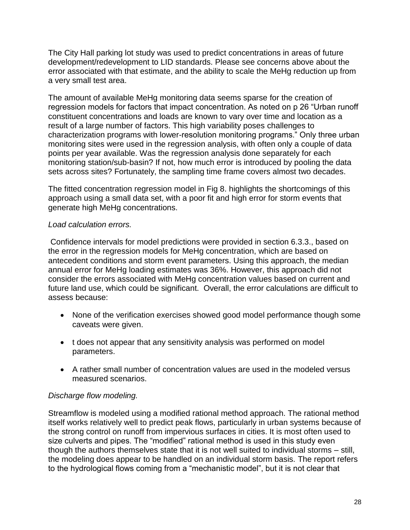The City Hall parking lot study was used to predict concentrations in areas of future development/redevelopment to LID standards. Please see concerns above about the error associated with that estimate, and the ability to scale the MeHg reduction up from a very small test area.

The amount of available MeHg monitoring data seems sparse for the creation of regression models for factors that impact concentration. As noted on p 26 "Urban runoff constituent concentrations and loads are known to vary over time and location as a result of a large number of factors. This high variability poses challenges to characterization programs with lower-resolution monitoring programs." Only three urban monitoring sites were used in the regression analysis, with often only a couple of data points per year available. Was the regression analysis done separately for each monitoring station/sub-basin? If not, how much error is introduced by pooling the data sets across sites? Fortunately, the sampling time frame covers almost two decades.

The fitted concentration regression model in Fig 8. highlights the shortcomings of this approach using a small data set, with a poor fit and high error for storm events that generate high MeHg concentrations.

## *Load calculation errors.*

Confidence intervals for model predictions were provided in section 6.3.3., based on the error in the regression models for MeHg concentration, which are based on antecedent conditions and storm event parameters. Using this approach, the median annual error for MeHg loading estimates was 36%. However, this approach did not consider the errors associated with MeHg concentration values based on current and future land use, which could be significant. Overall, the error calculations are difficult to assess because:

- None of the verification exercises showed good model performance though some caveats were given.
- t does not appear that any sensitivity analysis was performed on model parameters.
- A rather small number of concentration values are used in the modeled versus measured scenarios.

## *Discharge flow modeling.*

Streamflow is modeled using a modified rational method approach. The rational method itself works relatively well to predict peak flows, particularly in urban systems because of the strong control on runoff from impervious surfaces in cities. It is most often used to size culverts and pipes. The "modified" rational method is used in this study even though the authors themselves state that it is not well suited to individual storms – still, the modeling does appear to be handled on an individual storm basis. The report refers to the hydrological flows coming from a "mechanistic model", but it is not clear that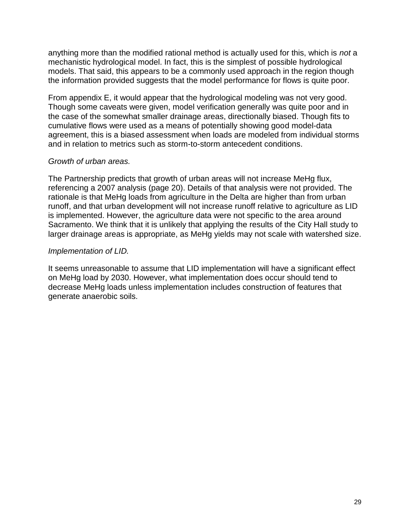anything more than the modified rational method is actually used for this, which is *not* a mechanistic hydrological model. In fact, this is the simplest of possible hydrological models. That said, this appears to be a commonly used approach in the region though the information provided suggests that the model performance for flows is quite poor.

From appendix E, it would appear that the hydrological modeling was not very good. Though some caveats were given, model verification generally was quite poor and in the case of the somewhat smaller drainage areas, directionally biased. Though fits to cumulative flows were used as a means of potentially showing good model-data agreement, this is a biased assessment when loads are modeled from individual storms and in relation to metrics such as storm-to-storm antecedent conditions.

#### *Growth of urban areas.*

The Partnership predicts that growth of urban areas will not increase MeHg flux, referencing a 2007 analysis (page 20). Details of that analysis were not provided. The rationale is that MeHg loads from agriculture in the Delta are higher than from urban runoff, and that urban development will not increase runoff relative to agriculture as LID is implemented. However, the agriculture data were not specific to the area around Sacramento. We think that it is unlikely that applying the results of the City Hall study to larger drainage areas is appropriate, as MeHg yields may not scale with watershed size.

## *Implementation of LID.*

It seems unreasonable to assume that LID implementation will have a significant effect on MeHg load by 2030. However, what implementation does occur should tend to decrease MeHg loads unless implementation includes construction of features that generate anaerobic soils.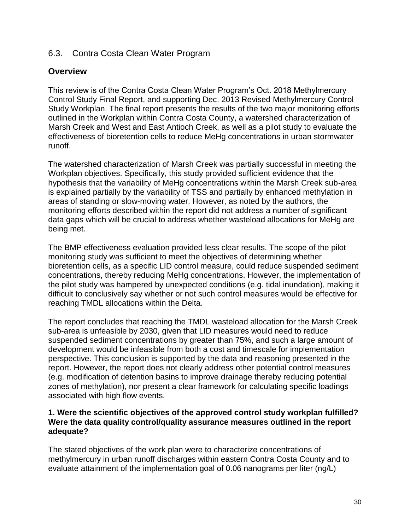## <span id="page-29-0"></span>6.3. Contra Costa Clean Water Program

## **Overview**

This review is of the Contra Costa Clean Water Program's Oct. 2018 Methylmercury Control Study Final Report, and supporting Dec. 2013 Revised Methylmercury Control Study Workplan. The final report presents the results of the two major monitoring efforts outlined in the Workplan within Contra Costa County, a watershed characterization of Marsh Creek and West and East Antioch Creek, as well as a pilot study to evaluate the effectiveness of bioretention cells to reduce MeHg concentrations in urban stormwater runoff.

The watershed characterization of Marsh Creek was partially successful in meeting the Workplan objectives. Specifically, this study provided sufficient evidence that the hypothesis that the variability of MeHg concentrations within the Marsh Creek sub-area is explained partially by the variability of TSS and partially by enhanced methylation in areas of standing or slow-moving water. However, as noted by the authors, the monitoring efforts described within the report did not address a number of significant data gaps which will be crucial to address whether wasteload allocations for MeHg are being met.

The BMP effectiveness evaluation provided less clear results. The scope of the pilot monitoring study was sufficient to meet the objectives of determining whether bioretention cells, as a specific LID control measure, could reduce suspended sediment concentrations, thereby reducing MeHg concentrations. However, the implementation of the pilot study was hampered by unexpected conditions (e.g. tidal inundation), making it difficult to conclusively say whether or not such control measures would be effective for reaching TMDL allocations within the Delta.

The report concludes that reaching the TMDL wasteload allocation for the Marsh Creek sub-area is unfeasible by 2030, given that LID measures would need to reduce suspended sediment concentrations by greater than 75%, and such a large amount of development would be infeasible from both a cost and timescale for implementation perspective. This conclusion is supported by the data and reasoning presented in the report. However, the report does not clearly address other potential control measures (e.g. modification of detention basins to improve drainage thereby reducing potential zones of methylation), nor present a clear framework for calculating specific loadings associated with high flow events.

## **1. Were the scientific objectives of the approved control study workplan fulfilled? Were the data quality control/quality assurance measures outlined in the report adequate?**

The stated objectives of the work plan were to characterize concentrations of methylmercury in urban runoff discharges within eastern Contra Costa County and to evaluate attainment of the implementation goal of 0.06 nanograms per liter (ng/L)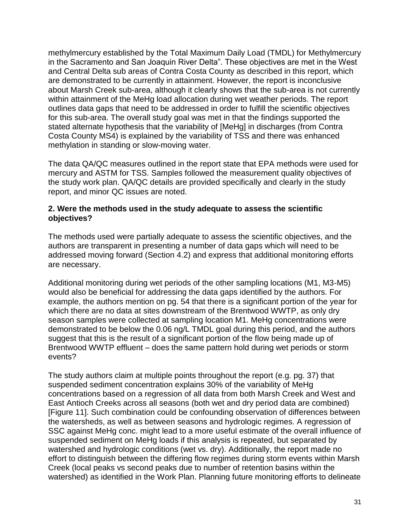methylmercury established by the Total Maximum Daily Load (TMDL) for Methylmercury in the Sacramento and San Joaquin River Delta". These objectives are met in the West and Central Delta sub areas of Contra Costa County as described in this report, which are demonstrated to be currently in attainment. However, the report is inconclusive about Marsh Creek sub-area, although it clearly shows that the sub-area is not currently within attainment of the MeHg load allocation during wet weather periods. The report outlines data gaps that need to be addressed in order to fulfill the scientific objectives for this sub-area. The overall study goal was met in that the findings supported the stated alternate hypothesis that the variability of [MeHg] in discharges (from Contra Costa County MS4) is explained by the variability of TSS and there was enhanced methylation in standing or slow-moving water.

The data QA/QC measures outlined in the report state that EPA methods were used for mercury and ASTM for TSS. Samples followed the measurement quality objectives of the study work plan. QA/QC details are provided specifically and clearly in the study report, and minor QC issues are noted.

## **2. Were the methods used in the study adequate to assess the scientific objectives?**

The methods used were partially adequate to assess the scientific objectives, and the authors are transparent in presenting a number of data gaps which will need to be addressed moving forward (Section 4.2) and express that additional monitoring efforts are necessary.

Additional monitoring during wet periods of the other sampling locations (M1, M3-M5) would also be beneficial for addressing the data gaps identified by the authors. For example, the authors mention on pg. 54 that there is a significant portion of the year for which there are no data at sites downstream of the Brentwood WWTP, as only dry season samples were collected at sampling location M1. MeHg concentrations were demonstrated to be below the 0.06 ng/L TMDL goal during this period, and the authors suggest that this is the result of a significant portion of the flow being made up of Brentwood WWTP effluent – does the same pattern hold during wet periods or storm events?

The study authors claim at multiple points throughout the report (e.g. pg. 37) that suspended sediment concentration explains 30% of the variability of MeHg concentrations based on a regression of all data from both Marsh Creek and West and East Antioch Creeks across all seasons (both wet and dry period data are combined) [Figure 11]. Such combination could be confounding observation of differences between the watersheds, as well as between seasons and hydrologic regimes. A regression of SSC against MeHg conc. might lead to a more useful estimate of the overall influence of suspended sediment on MeHg loads if this analysis is repeated, but separated by watershed and hydrologic conditions (wet vs. dry). Additionally, the report made no effort to distinguish between the differing flow regimes during storm events within Marsh Creek (local peaks vs second peaks due to number of retention basins within the watershed) as identified in the Work Plan. Planning future monitoring efforts to delineate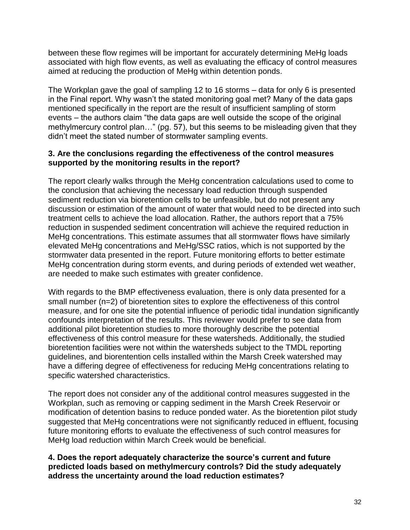between these flow regimes will be important for accurately determining MeHg loads associated with high flow events, as well as evaluating the efficacy of control measures aimed at reducing the production of MeHg within detention ponds.

The Workplan gave the goal of sampling 12 to 16 storms – data for only 6 is presented in the Final report. Why wasn't the stated monitoring goal met? Many of the data gaps mentioned specifically in the report are the result of insufficient sampling of storm events – the authors claim "the data gaps are well outside the scope of the original methylmercury control plan..." (pg. 57), but this seems to be misleading given that they didn't meet the stated number of stormwater sampling events.

## **3. Are the conclusions regarding the effectiveness of the control measures supported by the monitoring results in the report?**

The report clearly walks through the MeHg concentration calculations used to come to the conclusion that achieving the necessary load reduction through suspended sediment reduction via bioretention cells to be unfeasible, but do not present any discussion or estimation of the amount of water that would need to be directed into such treatment cells to achieve the load allocation. Rather, the authors report that a 75% reduction in suspended sediment concentration will achieve the required reduction in MeHg concentrations. This estimate assumes that all stormwater flows have similarly elevated MeHg concentrations and MeHg/SSC ratios, which is not supported by the stormwater data presented in the report. Future monitoring efforts to better estimate MeHg concentration during storm events, and during periods of extended wet weather, are needed to make such estimates with greater confidence.

With regards to the BMP effectiveness evaluation, there is only data presented for a small number (n=2) of bioretention sites to explore the effectiveness of this control measure, and for one site the potential influence of periodic tidal inundation significantly confounds interpretation of the results. This reviewer would prefer to see data from additional pilot bioretention studies to more thoroughly describe the potential effectiveness of this control measure for these watersheds. Additionally, the studied bioretention facilities were not within the watersheds subject to the TMDL reporting guidelines, and biorentention cells installed within the Marsh Creek watershed may have a differing degree of effectiveness for reducing MeHg concentrations relating to specific watershed characteristics.

The report does not consider any of the additional control measures suggested in the Workplan, such as removing or capping sediment in the Marsh Creek Reservoir or modification of detention basins to reduce ponded water. As the bioretention pilot study suggested that MeHg concentrations were not significantly reduced in effluent, focusing future monitoring efforts to evaluate the effectiveness of such control measures for MeHg load reduction within March Creek would be beneficial.

**4. Does the report adequately characterize the source's current and future predicted loads based on methylmercury controls? Did the study adequately address the uncertainty around the load reduction estimates?**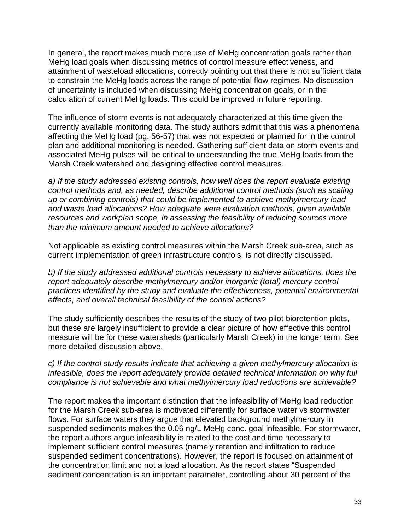In general, the report makes much more use of MeHg concentration goals rather than MeHg load goals when discussing metrics of control measure effectiveness, and attainment of wasteload allocations, correctly pointing out that there is not sufficient data to constrain the MeHg loads across the range of potential flow regimes. No discussion of uncertainty is included when discussing MeHg concentration goals, or in the calculation of current MeHg loads. This could be improved in future reporting.

The influence of storm events is not adequately characterized at this time given the currently available monitoring data. The study authors admit that this was a phenomena affecting the MeHg load (pg. 56-57) that was not expected or planned for in the control plan and additional monitoring is needed. Gathering sufficient data on storm events and associated MeHg pulses will be critical to understanding the true MeHg loads from the Marsh Creek watershed and designing effective control measures.

*a) If the study addressed existing controls, how well does the report evaluate existing control methods and, as needed, describe additional control methods (such as scaling up or combining controls) that could be implemented to achieve methylmercury load and waste load allocations? How adequate were evaluation methods, given available resources and workplan scope, in assessing the feasibility of reducing sources more than the minimum amount needed to achieve allocations?*

Not applicable as existing control measures within the Marsh Creek sub-area, such as current implementation of green infrastructure controls, is not directly discussed.

*b) If the study addressed additional controls necessary to achieve allocations, does the report adequately describe methylmercury and/or inorganic (total) mercury control practices identified by the study and evaluate the effectiveness, potential environmental effects, and overall technical feasibility of the control actions?*

The study sufficiently describes the results of the study of two pilot bioretention plots, but these are largely insufficient to provide a clear picture of how effective this control measure will be for these watersheds (particularly Marsh Creek) in the longer term. See more detailed discussion above.

*c) If the control study results indicate that achieving a given methylmercury allocation is infeasible, does the report adequately provide detailed technical information on why full compliance is not achievable and what methylmercury load reductions are achievable?*

The report makes the important distinction that the infeasibility of MeHg load reduction for the Marsh Creek sub-area is motivated differently for surface water vs stormwater flows. For surface waters they argue that elevated background methylmercury in suspended sediments makes the 0.06 ng/L MeHg conc. goal infeasible. For stormwater, the report authors argue infeasibility is related to the cost and time necessary to implement sufficient control measures (namely retention and infiltration to reduce suspended sediment concentrations). However, the report is focused on attainment of the concentration limit and not a load allocation. As the report states "Suspended sediment concentration is an important parameter, controlling about 30 percent of the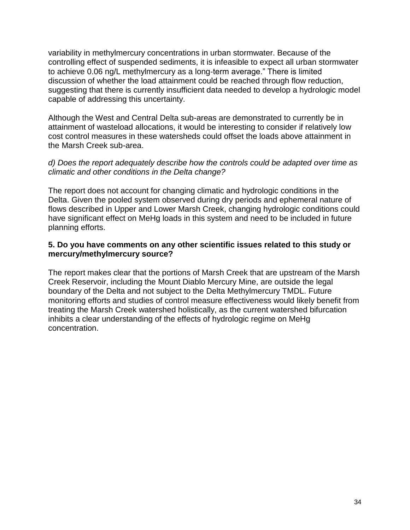variability in methylmercury concentrations in urban stormwater. Because of the controlling effect of suspended sediments, it is infeasible to expect all urban stormwater to achieve 0.06 ng/L methylmercury as a long‐term average." There is limited discussion of whether the load attainment could be reached through flow reduction, suggesting that there is currently insufficient data needed to develop a hydrologic model capable of addressing this uncertainty.

Although the West and Central Delta sub-areas are demonstrated to currently be in attainment of wasteload allocations, it would be interesting to consider if relatively low cost control measures in these watersheds could offset the loads above attainment in the Marsh Creek sub-area.

## *d) Does the report adequately describe how the controls could be adapted over time as climatic and other conditions in the Delta change?*

The report does not account for changing climatic and hydrologic conditions in the Delta. Given the pooled system observed during dry periods and ephemeral nature of flows described in Upper and Lower Marsh Creek, changing hydrologic conditions could have significant effect on MeHg loads in this system and need to be included in future planning efforts.

## **5. Do you have comments on any other scientific issues related to this study or mercury/methylmercury source?**

The report makes clear that the portions of Marsh Creek that are upstream of the Marsh Creek Reservoir, including the Mount Diablo Mercury Mine, are outside the legal boundary of the Delta and not subject to the Delta Methylmercury TMDL. Future monitoring efforts and studies of control measure effectiveness would likely benefit from treating the Marsh Creek watershed holistically, as the current watershed bifurcation inhibits a clear understanding of the effects of hydrologic regime on MeHg concentration.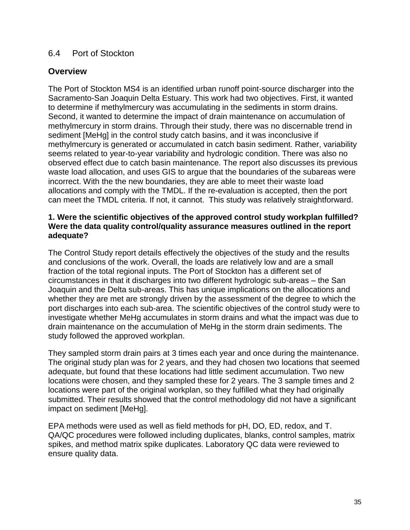## <span id="page-34-0"></span>6.4 Port of Stockton

## **Overview**

The Port of Stockton MS4 is an identified urban runoff point-source discharger into the Sacramento-San Joaquin Delta Estuary. This work had two objectives. First, it wanted to determine if methylmercury was accumulating in the sediments in storm drains. Second, it wanted to determine the impact of drain maintenance on accumulation of methylmercury in storm drains. Through their study, there was no discernable trend in sediment [MeHg] in the control study catch basins, and it was inconclusive if methylmercury is generated or accumulated in catch basin sediment. Rather, variability seems related to year-to-year variability and hydrologic condition. There was also no observed effect due to catch basin maintenance. The report also discusses its previous waste load allocation, and uses GIS to argue that the boundaries of the subareas were incorrect. With the the new boundaries, they are able to meet their waste load allocations and comply with the TMDL. If the re-evaluation is accepted, then the port can meet the TMDL criteria. If not, it cannot. This study was relatively straightforward.

#### **1. Were the scientific objectives of the approved control study workplan fulfilled? Were the data quality control/quality assurance measures outlined in the report adequate?**

The Control Study report details effectively the objectives of the study and the results and conclusions of the work. Overall, the loads are relatively low and are a small fraction of the total regional inputs. The Port of Stockton has a different set of circumstances in that it discharges into two different hydrologic sub-areas – the San Joaquin and the Delta sub-areas. This has unique implications on the allocations and whether they are met are strongly driven by the assessment of the degree to which the port discharges into each sub-area. The scientific objectives of the control study were to investigate whether MeHg accumulates in storm drains and what the impact was due to drain maintenance on the accumulation of MeHg in the storm drain sediments. The study followed the approved workplan.

They sampled storm drain pairs at 3 times each year and once during the maintenance. The original study plan was for 2 years, and they had chosen two locations that seemed adequate, but found that these locations had little sediment accumulation. Two new locations were chosen, and they sampled these for 2 years. The 3 sample times and 2 locations were part of the original workplan, so they fulfilled what they had originally submitted. Their results showed that the control methodology did not have a significant impact on sediment [MeHg].

EPA methods were used as well as field methods for pH, DO, ED, redox, and T. QA/QC procedures were followed including duplicates, blanks, control samples, matrix spikes, and method matrix spike duplicates. Laboratory QC data were reviewed to ensure quality data.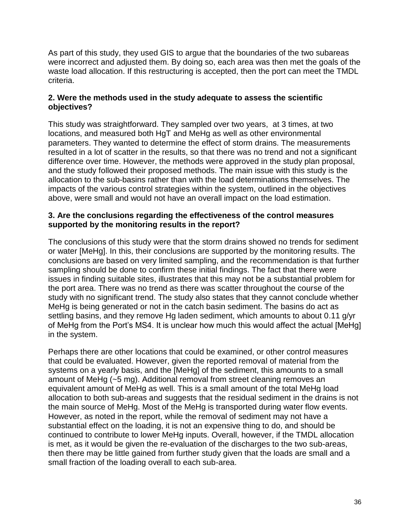As part of this study, they used GIS to argue that the boundaries of the two subareas were incorrect and adjusted them. By doing so, each area was then met the goals of the waste load allocation. If this restructuring is accepted, then the port can meet the TMDL criteria.

## **2. Were the methods used in the study adequate to assess the scientific objectives?**

This study was straightforward. They sampled over two years, at 3 times, at two locations, and measured both HgT and MeHg as well as other environmental parameters. They wanted to determine the effect of storm drains. The measurements resulted in a lot of scatter in the results, so that there was no trend and not a significant difference over time. However, the methods were approved in the study plan proposal, and the study followed their proposed methods. The main issue with this study is the allocation to the sub-basins rather than with the load determinations themselves. The impacts of the various control strategies within the system, outlined in the objectives above, were small and would not have an overall impact on the load estimation.

## **3. Are the conclusions regarding the effectiveness of the control measures supported by the monitoring results in the report?**

The conclusions of this study were that the storm drains showed no trends for sediment or water [MeHg]. In this, their conclusions are supported by the monitoring results. The conclusions are based on very limited sampling, and the recommendation is that further sampling should be done to confirm these initial findings. The fact that there were issues in finding suitable sites, illustrates that this may not be a substantial problem for the port area. There was no trend as there was scatter throughout the course of the study with no significant trend. The study also states that they cannot conclude whether MeHg is being generated or not in the catch basin sediment. The basins do act as settling basins, and they remove Hg laden sediment, which amounts to about 0.11 g/yr of MeHg from the Port's MS4. It is unclear how much this would affect the actual [MeHg] in the system.

Perhaps there are other locations that could be examined, or other control measures that could be evaluated. However, given the reported removal of material from the systems on a yearly basis, and the [MeHg] of the sediment, this amounts to a small amount of MeHg (~5 mg). Additional removal from street cleaning removes an equivalent amount of MeHg as well. This is a small amount of the total MeHg load allocation to both sub-areas and suggests that the residual sediment in the drains is not the main source of MeHg. Most of the MeHg is transported during water flow events. However, as noted in the report, while the removal of sediment may not have a substantial effect on the loading, it is not an expensive thing to do, and should be continued to contribute to lower MeHg inputs. Overall, however, if the TMDL allocation is met, as it would be given the re-evaluation of the discharges to the two sub-areas, then there may be little gained from further study given that the loads are small and a small fraction of the loading overall to each sub-area.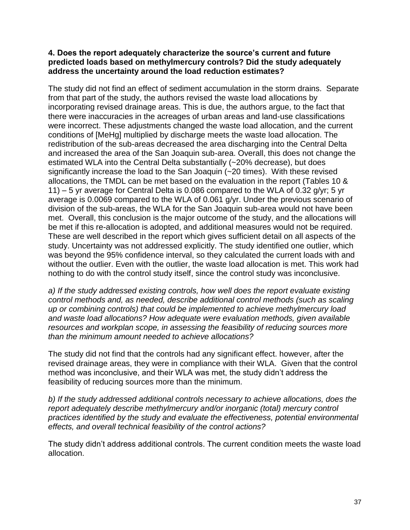#### **4. Does the report adequately characterize the source's current and future predicted loads based on methylmercury controls? Did the study adequately address the uncertainty around the load reduction estimates?**

The study did not find an effect of sediment accumulation in the storm drains. Separate from that part of the study, the authors revised the waste load allocations by incorporating revised drainage areas. This is due, the authors argue, to the fact that there were inaccuracies in the acreages of urban areas and land-use classifications were incorrect. These adjustments changed the waste load allocation, and the current conditions of [MeHg] multiplied by discharge meets the waste load allocation. The redistribution of the sub-areas decreased the area discharging into the Central Delta and increased the area of the San Joaquin sub-area. Overall, this does not change the estimated WLA into the Central Delta substantially (~20% decrease), but does significantly increase the load to the San Joaquin (~20 times). With these revised allocations, the TMDL can be met based on the evaluation in the report (Tables 10 & 11) – 5 yr average for Central Delta is 0.086 compared to the WLA of 0.32 g/yr; 5 yr average is 0.0069 compared to the WLA of 0.061 g/yr. Under the previous scenario of division of the sub-areas, the WLA for the San Joaquin sub-area would not have been met. Overall, this conclusion is the major outcome of the study, and the allocations will be met if this re-allocation is adopted, and additional measures would not be required. These are well described in the report which gives sufficient detail on all aspects of the study. Uncertainty was not addressed explicitly. The study identified one outlier, which was beyond the 95% confidence interval, so they calculated the current loads with and without the outlier. Even with the outlier, the waste load allocation is met. This work had nothing to do with the control study itself, since the control study was inconclusive.

*a) If the study addressed existing controls, how well does the report evaluate existing control methods and, as needed, describe additional control methods (such as scaling up or combining controls) that could be implemented to achieve methylmercury load and waste load allocations? How adequate were evaluation methods, given available resources and workplan scope, in assessing the feasibility of reducing sources more than the minimum amount needed to achieve allocations?*

The study did not find that the controls had any significant effect. however, after the revised drainage areas, they were in compliance with their WLA. Given that the control method was inconclusive, and their WLA was met, the study didn't address the feasibility of reducing sources more than the minimum.

*b) If the study addressed additional controls necessary to achieve allocations, does the report adequately describe methylmercury and/or inorganic (total) mercury control practices identified by the study and evaluate the effectiveness, potential environmental effects, and overall technical feasibility of the control actions?*

The study didn't address additional controls. The current condition meets the waste load allocation.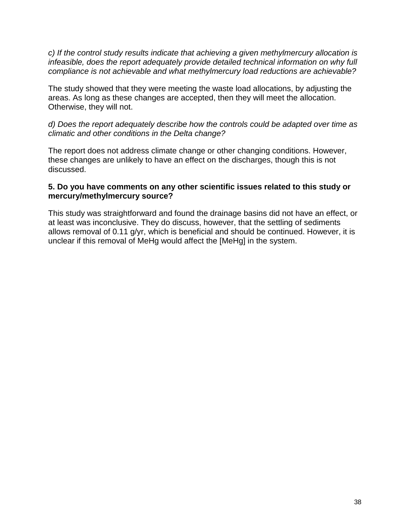*c) If the control study results indicate that achieving a given methylmercury allocation is infeasible, does the report adequately provide detailed technical information on why full compliance is not achievable and what methylmercury load reductions are achievable?*

The study showed that they were meeting the waste load allocations, by adjusting the areas. As long as these changes are accepted, then they will meet the allocation. Otherwise, they will not.

*d) Does the report adequately describe how the controls could be adapted over time as climatic and other conditions in the Delta change?*

The report does not address climate change or other changing conditions. However, these changes are unlikely to have an effect on the discharges, though this is not discussed.

## **5. Do you have comments on any other scientific issues related to this study or mercury/methylmercury source?**

This study was straightforward and found the drainage basins did not have an effect, or at least was inconclusive. They do discuss, however, that the settling of sediments allows removal of 0.11 g/yr, which is beneficial and should be continued. However, it is unclear if this removal of MeHg would affect the [MeHg] in the system.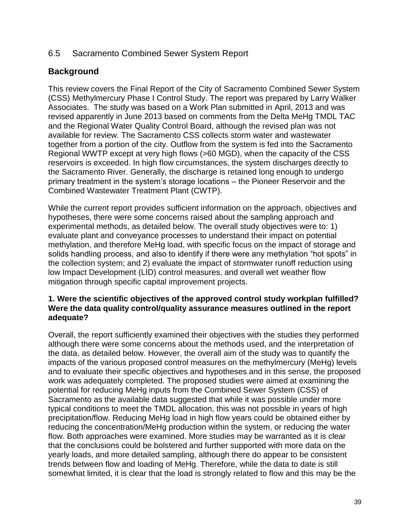## <span id="page-38-0"></span>6.5 Sacramento Combined Sewer System Report

## **Background**

This review covers the Final Report of the City of Sacramento Combined Sewer System (CSS) Methylmercury Phase I Control Study. The report was prepared by Larry Walker Associates. The study was based on a Work Plan submitted in April, 2013 and was revised apparently in June 2013 based on comments from the Delta MeHg TMDL TAC and the Regional Water Quality Control Board, although the revised plan was not available for review. The Sacramento CSS collects storm water and wastewater together from a portion of the city. Outflow from the system is fed into the Sacramento Regional WWTP except at very high flows (>60 MGD), when the capacity of the CSS reservoirs is exceeded. In high flow circumstances, the system discharges directly to the Sacramento River. Generally, the discharge is retained long enough to undergo primary treatment in the system's storage locations – the Pioneer Reservoir and the Combined Wastewater Treatment Plant (CWTP).

While the current report provides sufficient information on the approach, objectives and hypotheses, there were some concerns raised about the sampling approach and experimental methods, as detailed below. The overall study objectives were to: 1) evaluate plant and conveyance processes to understand their impact on potential methylation, and therefore MeHg load, with specific focus on the impact of storage and solids handling process, and also to identify if there were any methylation "hot spots" in the collection system; and 2) evaluate the impact of stormwater runoff reduction using low Impact Development (LID) control measures, and overall wet weather flow mitigation through specific capital improvement projects.

## **1. Were the scientific objectives of the approved control study workplan fulfilled? Were the data quality control/quality assurance measures outlined in the report adequate?**

Overall, the report sufficiently examined their objectives with the studies they performed although there were some concerns about the methods used, and the interpretation of the data, as detailed below. However, the overall aim of the study was to quantify the impacts of the various proposed control measures on the methylmercury (MeHg) levels and to evaluate their specific objectives and hypotheses and in this sense, the proposed work was adequately completed. The proposed studies were aimed at examining the potential for reducing MeHg inputs from the Combined Sewer System (CSS) of Sacramento as the available data suggested that while it was possible under more typical conditions to meet the TMDL allocation, this was not possible in years of high precipitation/flow. Reducing MeHg load in high flow years could be obtained either by reducing the concentration/MeHg production within the system, or reducing the water flow. Both approaches were examined. More studies may be warranted as it is clear that the conclusions could be bolstered and further supported with more data on the yearly loads, and more detailed sampling, although there do appear to be consistent trends between flow and loading of MeHg. Therefore, while the data to date is still somewhat limited, it is clear that the load is strongly related to flow and this may be the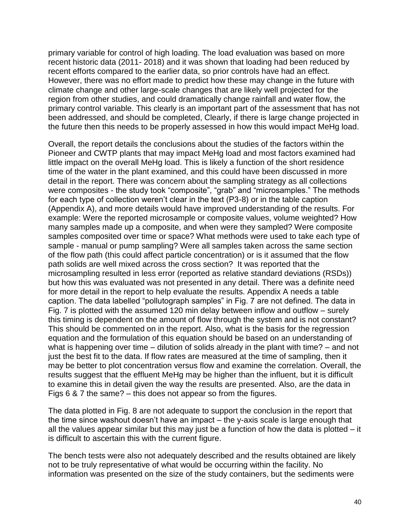primary variable for control of high loading. The load evaluation was based on more recent historic data (2011- 2018) and it was shown that loading had been reduced by recent efforts compared to the earlier data, so prior controls have had an effect. However, there was no effort made to predict how these may change in the future with climate change and other large-scale changes that are likely well projected for the region from other studies, and could dramatically change rainfall and water flow, the primary control variable. This clearly is an important part of the assessment that has not been addressed, and should be completed, Clearly, if there is large change projected in the future then this needs to be properly assessed in how this would impact MeHg load.

Overall, the report details the conclusions about the studies of the factors within the Pioneer and CWTP plants that may impact MeHg load and most factors examined had little impact on the overall MeHg load. This is likely a function of the short residence time of the water in the plant examined, and this could have been discussed in more detail in the report. There was concern about the sampling strategy as all collections were composites - the study took "composite", "grab" and "microsamples." The methods for each type of collection weren't clear in the text (P3-8) or in the table caption (Appendix A), and more details would have improved understanding of the results. For example: Were the reported microsample or composite values, volume weighted? How many samples made up a composite, and when were they sampled? Were composite samples composited over time or space? What methods were used to take each type of sample - manual or pump sampling? Were all samples taken across the same section of the flow path (this could affect particle concentration) or is it assumed that the flow path solids are well mixed across the cross section? It was reported that the microsampling resulted in less error (reported as relative standard deviations (RSDs)) but how this was evaluated was not presented in any detail. There was a definite need for more detail in the report to help evaluate the results. Appendix A needs a table caption. The data labelled "pollutograph samples" in Fig. 7 are not defined. The data in Fig. 7 is plotted with the assumed 120 min delay between inflow and outflow – surely this timing is dependent on the amount of flow through the system and is not constant? This should be commented on in the report. Also, what is the basis for the regression equation and the formulation of this equation should be based on an understanding of what is happening over time – dilution of solids already in the plant with time? – and not just the best fit to the data. If flow rates are measured at the time of sampling, then it may be better to plot concentration versus flow and examine the correlation. Overall, the results suggest that the effluent MeHg may be higher than the influent, but it is difficult to examine this in detail given the way the results are presented. Also, are the data in Figs 6 & 7 the same? – this does not appear so from the figures.

The data plotted in Fig. 8 are not adequate to support the conclusion in the report that the time since washout doesn't have an impact – the y-axis scale is large enough that all the values appear similar but this may just be a function of how the data is plotted – it is difficult to ascertain this with the current figure.

The bench tests were also not adequately described and the results obtained are likely not to be truly representative of what would be occurring within the facility. No information was presented on the size of the study containers, but the sediments were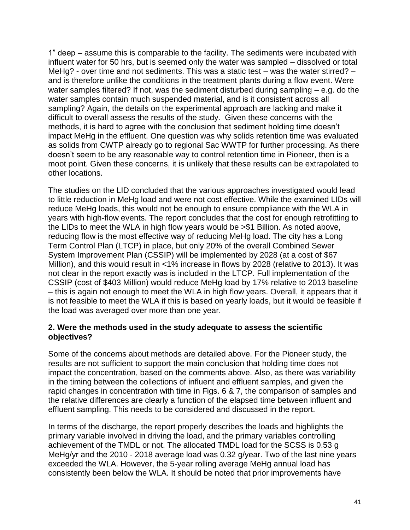1" deep – assume this is comparable to the facility. The sediments were incubated with influent water for 50 hrs, but is seemed only the water was sampled – dissolved or total MeHg? - over time and not sediments. This was a static test – was the water stirred? – and is therefore unlike the conditions in the treatment plants during a flow event. Were water samples filtered? If not, was the sediment disturbed during sampling – e.g. do the water samples contain much suspended material, and is it consistent across all sampling? Again, the details on the experimental approach are lacking and make it difficult to overall assess the results of the study. Given these concerns with the methods, it is hard to agree with the conclusion that sediment holding time doesn't impact MeHg in the effluent. One question was why solids retention time was evaluated as solids from CWTP already go to regional Sac WWTP for further processing. As there doesn't seem to be any reasonable way to control retention time in Pioneer, then is a moot point. Given these concerns, it is unlikely that these results can be extrapolated to other locations.

The studies on the LID concluded that the various approaches investigated would lead to little reduction in MeHg load and were not cost effective. While the examined LIDs will reduce MeHg loads, this would not be enough to ensure compliance with the WLA in years with high-flow events. The report concludes that the cost for enough retrofitting to the LIDs to meet the WLA in high flow years would be >\$1 Billion. As noted above, reducing flow is the most effective way of reducing MeHg load. The city has a Long Term Control Plan (LTCP) in place, but only 20% of the overall Combined Sewer System Improvement Plan (CSSIP) will be implemented by 2028 (at a cost of \$67 Million), and this would result in <1% increase in flows by 2028 (relative to 2013). It was not clear in the report exactly was is included in the LTCP. Full implementation of the CSSIP (cost of \$403 Million) would reduce MeHg load by 17% relative to 2013 baseline – this is again not enough to meet the WLA in high flow years. Overall, it appears that it is not feasible to meet the WLA if this is based on yearly loads, but it would be feasible if the load was averaged over more than one year.

## **2. Were the methods used in the study adequate to assess the scientific objectives?**

Some of the concerns about methods are detailed above. For the Pioneer study, the results are not sufficient to support the main conclusion that holding time does not impact the concentration, based on the comments above. Also, as there was variability in the timing between the collections of influent and effluent samples, and given the rapid changes in concentration with time in Figs. 6 & 7, the comparison of samples and the relative differences are clearly a function of the elapsed time between influent and effluent sampling. This needs to be considered and discussed in the report.

In terms of the discharge, the report properly describes the loads and highlights the primary variable involved in driving the load, and the primary variables controlling achievement of the TMDL or not. The allocated TMDL load for the SCSS is 0.53 g MeHg/yr and the 2010 - 2018 average load was 0.32 g/year. Two of the last nine years exceeded the WLA. However, the 5-year rolling average MeHg annual load has consistently been below the WLA. It should be noted that prior improvements have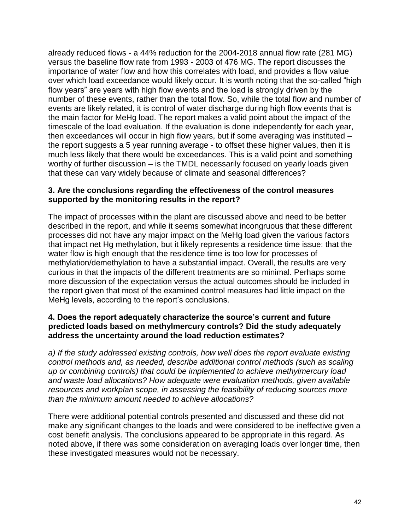already reduced flows - a 44% reduction for the 2004-2018 annual flow rate (281 MG) versus the baseline flow rate from 1993 - 2003 of 476 MG. The report discusses the importance of water flow and how this correlates with load, and provides a flow value over which load exceedance would likely occur. It is worth noting that the so-called "high flow years" are years with high flow events and the load is strongly driven by the number of these events, rather than the total flow. So, while the total flow and number of events are likely related, it is control of water discharge during high flow events that is the main factor for MeHg load. The report makes a valid point about the impact of the timescale of the load evaluation. If the evaluation is done independently for each year, then exceedances will occur in high flow years, but if some averaging was instituted – the report suggests a 5 year running average - to offset these higher values, then it is much less likely that there would be exceedances. This is a valid point and something worthy of further discussion – is the TMDL necessarily focused on yearly loads given that these can vary widely because of climate and seasonal differences?

## **3. Are the conclusions regarding the effectiveness of the control measures supported by the monitoring results in the report?**

The impact of processes within the plant are discussed above and need to be better described in the report, and while it seems somewhat incongruous that these different processes did not have any major impact on the MeHg load given the various factors that impact net Hg methylation, but it likely represents a residence time issue: that the water flow is high enough that the residence time is too low for processes of methylation/demethylation to have a substantial impact. Overall, the results are very curious in that the impacts of the different treatments are so minimal. Perhaps some more discussion of the expectation versus the actual outcomes should be included in the report given that most of the examined control measures had little impact on the MeHg levels, according to the report's conclusions.

## **4. Does the report adequately characterize the source's current and future predicted loads based on methylmercury controls? Did the study adequately address the uncertainty around the load reduction estimates?**

*a) If the study addressed existing controls, how well does the report evaluate existing control methods and, as needed, describe additional control methods (such as scaling up or combining controls) that could be implemented to achieve methylmercury load and waste load allocations? How adequate were evaluation methods, given available resources and workplan scope, in assessing the feasibility of reducing sources more than the minimum amount needed to achieve allocations?*

There were additional potential controls presented and discussed and these did not make any significant changes to the loads and were considered to be ineffective given a cost benefit analysis. The conclusions appeared to be appropriate in this regard. As noted above, if there was some consideration on averaging loads over longer time, then these investigated measures would not be necessary.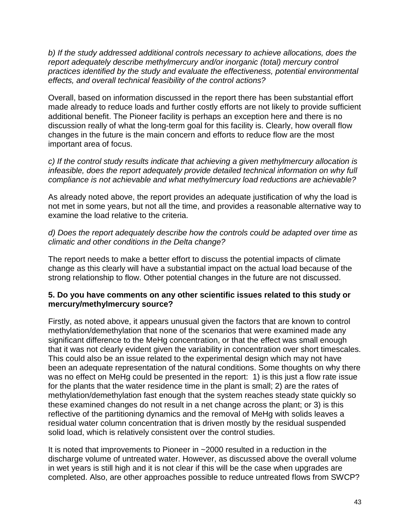*b) If the study addressed additional controls necessary to achieve allocations, does the report adequately describe methylmercury and/or inorganic (total) mercury control practices identified by the study and evaluate the effectiveness, potential environmental effects, and overall technical feasibility of the control actions?*

Overall, based on information discussed in the report there has been substantial effort made already to reduce loads and further costly efforts are not likely to provide sufficient additional benefit. The Pioneer facility is perhaps an exception here and there is no discussion really of what the long-term goal for this facility is. Clearly, how overall flow changes in the future is the main concern and efforts to reduce flow are the most important area of focus.

*c) If the control study results indicate that achieving a given methylmercury allocation is infeasible, does the report adequately provide detailed technical information on why full compliance is not achievable and what methylmercury load reductions are achievable?*

As already noted above, the report provides an adequate justification of why the load is not met in some years, but not all the time, and provides a reasonable alternative way to examine the load relative to the criteria.

*d) Does the report adequately describe how the controls could be adapted over time as climatic and other conditions in the Delta change?*

The report needs to make a better effort to discuss the potential impacts of climate change as this clearly will have a substantial impact on the actual load because of the strong relationship to flow. Other potential changes in the future are not discussed.

## **5. Do you have comments on any other scientific issues related to this study or mercury/methylmercury source?**

Firstly, as noted above, it appears unusual given the factors that are known to control methylation/demethylation that none of the scenarios that were examined made any significant difference to the MeHg concentration, or that the effect was small enough that it was not clearly evident given the variability in concentration over short timescales. This could also be an issue related to the experimental design which may not have been an adequate representation of the natural conditions. Some thoughts on why there was no effect on MeHg could be presented in the report: 1) is this just a flow rate issue for the plants that the water residence time in the plant is small; 2) are the rates of methylation/demethylation fast enough that the system reaches steady state quickly so these examined changes do not result in a net change across the plant; or 3) is this reflective of the partitioning dynamics and the removal of MeHg with solids leaves a residual water column concentration that is driven mostly by the residual suspended solid load, which is relatively consistent over the control studies.

It is noted that improvements to Pioneer in ~2000 resulted in a reduction in the discharge volume of untreated water. However, as discussed above the overall volume in wet years is still high and it is not clear if this will be the case when upgrades are completed. Also, are other approaches possible to reduce untreated flows from SWCP?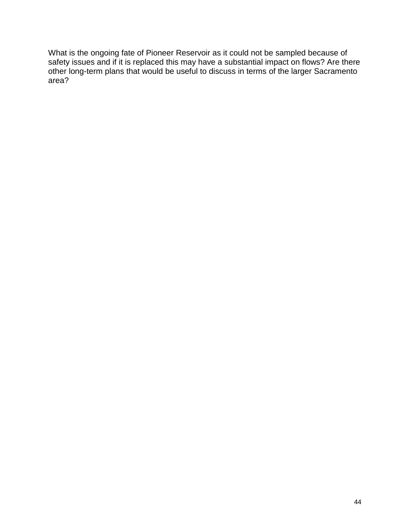What is the ongoing fate of Pioneer Reservoir as it could not be sampled because of safety issues and if it is replaced this may have a substantial impact on flows? Are there other long-term plans that would be useful to discuss in terms of the larger Sacramento area?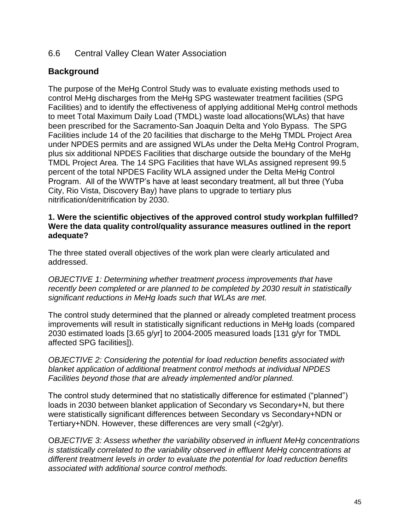## <span id="page-44-0"></span>6.6 Central Valley Clean Water Association

## **Background**

The purpose of the MeHg Control Study was to evaluate existing methods used to control MeHg discharges from the MeHg SPG wastewater treatment facilities (SPG Facilities) and to identify the effectiveness of applying additional MeHg control methods to meet Total Maximum Daily Load (TMDL) waste load allocations(WLAs) that have been prescribed for the Sacramento-San Joaquin Delta and Yolo Bypass. The SPG Facilities include 14 of the 20 facilities that discharge to the MeHg TMDL Project Area under NPDES permits and are assigned WLAs under the Delta MeHg Control Program, plus six additional NPDES Facilities that discharge outside the boundary of the MeHg TMDL Project Area. The 14 SPG Facilities that have WLAs assigned represent 99.5 percent of the total NPDES Facility WLA assigned under the Delta MeHg Control Program. All of the WWTP's have at least secondary treatment, all but three (Yuba City, Rio Vista, Discovery Bay) have plans to upgrade to tertiary plus nitrification/denitrification by 2030.

## **1. Were the scientific objectives of the approved control study workplan fulfilled? Were the data quality control/quality assurance measures outlined in the report adequate?**

The three stated overall objectives of the work plan were clearly articulated and addressed.

*OBJECTIVE 1: Determining whether treatment process improvements that have recently been completed or are planned to be completed by 2030 result in statistically significant reductions in MeHg loads such that WLAs are met.*

The control study determined that the planned or already completed treatment process improvements will result in statistically significant reductions in MeHg loads (compared 2030 estimated loads [3.65 g/yr] to 2004-2005 measured loads [131 g/yr for TMDL affected SPG facilities]).

*OBJECTIVE 2: Considering the potential for load reduction benefits associated with blanket application of additional treatment control methods at individual NPDES Facilities beyond those that are already implemented and/or planned.*

The control study determined that no statistically difference for estimated ("planned") loads in 2030 between blanket application of Secondary vs Secondary+N, but there were statistically significant differences between Secondary vs Secondary+NDN or Tertiary+NDN. However, these differences are very small (<2g/yr).

O*BJECTIVE 3: Assess whether the variability observed in influent MeHg concentrations is statistically correlated to the variability observed in effluent MeHg concentrations at different treatment levels in order to evaluate the potential for load reduction benefits associated with additional source control methods.*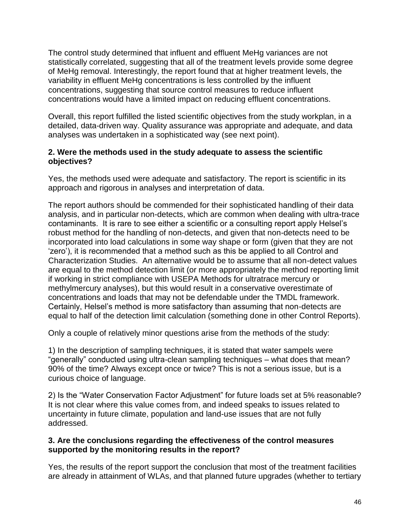The control study determined that influent and effluent MeHg variances are not statistically correlated, suggesting that all of the treatment levels provide some degree of MeHg removal. Interestingly, the report found that at higher treatment levels, the variability in effluent MeHg concentrations is less controlled by the influent concentrations, suggesting that source control measures to reduce influent concentrations would have a limited impact on reducing effluent concentrations.

Overall, this report fulfilled the listed scientific objectives from the study workplan, in a detailed, data-driven way. Quality assurance was appropriate and adequate, and data analyses was undertaken in a sophisticated way (see next point).

## **2. Were the methods used in the study adequate to assess the scientific objectives?**

Yes, the methods used were adequate and satisfactory. The report is scientific in its approach and rigorous in analyses and interpretation of data.

The report authors should be commended for their sophisticated handling of their data analysis, and in particular non-detects, which are common when dealing with ultra-trace contaminants. It is rare to see either a scientific or a consulting report apply Helsel's robust method for the handling of non-detects, and given that non-detects need to be incorporated into load calculations in some way shape or form (given that they are not 'zero'), it is recommended that a method such as this be applied to all Control and Characterization Studies. An alternative would be to assume that all non-detect values are equal to the method detection limit (or more appropriately the method reporting limit if working in strict compliance with USEPA Methods for ultratrace mercury or methylmercury analyses), but this would result in a conservative overestimate of concentrations and loads that may not be defendable under the TMDL framework. Certainly, Helsel's method is more satisfactory than assuming that non-detects are equal to half of the detection limit calculation (something done in other Control Reports).

Only a couple of relatively minor questions arise from the methods of the study:

1) In the description of sampling techniques, it is stated that water sampels were "generally" conducted using ultra-clean sampling techniques – what does that mean? 90% of the time? Always except once or twice? This is not a serious issue, but is a curious choice of language.

2) Is the "Water Conservation Factor Adjustment" for future loads set at 5% reasonable? It is not clear where this value comes from, and indeed speaks to issues related to uncertainty in future climate, population and land-use issues that are not fully addressed.

## **3. Are the conclusions regarding the effectiveness of the control measures supported by the monitoring results in the report?**

Yes, the results of the report support the conclusion that most of the treatment facilities are already in attainment of WLAs, and that planned future upgrades (whether to tertiary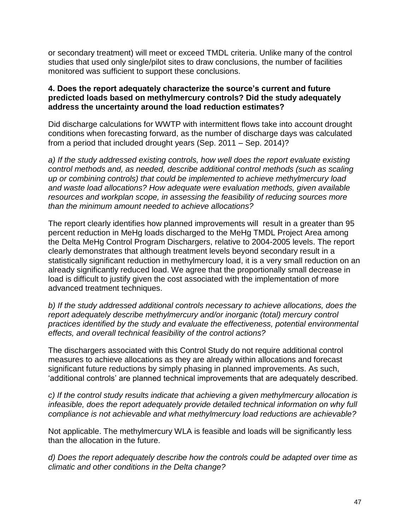or secondary treatment) will meet or exceed TMDL criteria. Unlike many of the control studies that used only single/pilot sites to draw conclusions, the number of facilities monitored was sufficient to support these conclusions.

## **4. Does the report adequately characterize the source's current and future predicted loads based on methylmercury controls? Did the study adequately address the uncertainty around the load reduction estimates?**

Did discharge calculations for WWTP with intermittent flows take into account drought conditions when forecasting forward, as the number of discharge days was calculated from a period that included drought years (Sep. 2011 – Sep. 2014)?

*a) If the study addressed existing controls, how well does the report evaluate existing control methods and, as needed, describe additional control methods (such as scaling up or combining controls) that could be implemented to achieve methylmercury load and waste load allocations? How adequate were evaluation methods, given available resources and workplan scope, in assessing the feasibility of reducing sources more than the minimum amount needed to achieve allocations?*

The report clearly identifies how planned improvements will result in a greater than 95 percent reduction in MeHg loads discharged to the MeHg TMDL Project Area among the Delta MeHg Control Program Dischargers, relative to 2004-2005 levels. The report clearly demonstrates that although treatment levels beyond secondary result in a statistically significant reduction in methylmercury load, it is a very small reduction on an already significantly reduced load. We agree that the proportionally small decrease in load is difficult to justify given the cost associated with the implementation of more advanced treatment techniques.

*b) If the study addressed additional controls necessary to achieve allocations, does the report adequately describe methylmercury and/or inorganic (total) mercury control practices identified by the study and evaluate the effectiveness, potential environmental effects, and overall technical feasibility of the control actions?*

The dischargers associated with this Control Study do not require additional control measures to achieve allocations as they are already within allocations and forecast significant future reductions by simply phasing in planned improvements. As such, 'additional controls' are planned technical improvements that are adequately described.

*c) If the control study results indicate that achieving a given methylmercury allocation is infeasible, does the report adequately provide detailed technical information on why full compliance is not achievable and what methylmercury load reductions are achievable?*

Not applicable. The methylmercury WLA is feasible and loads will be significantly less than the allocation in the future.

*d) Does the report adequately describe how the controls could be adapted over time as climatic and other conditions in the Delta change?*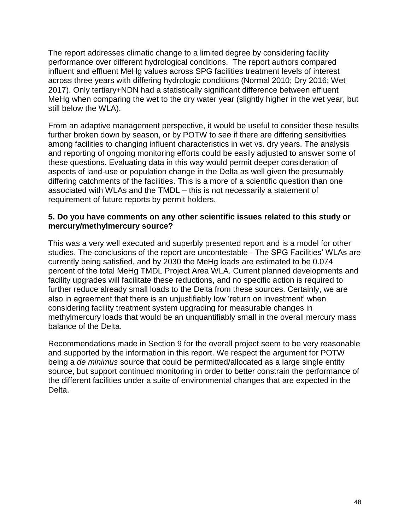The report addresses climatic change to a limited degree by considering facility performance over different hydrological conditions. The report authors compared influent and effluent MeHg values across SPG facilities treatment levels of interest across three years with differing hydrologic conditions (Normal 2010; Dry 2016; Wet 2017). Only tertiary+NDN had a statistically significant difference between effluent MeHg when comparing the wet to the dry water year (slightly higher in the wet year, but still below the WLA).

From an adaptive management perspective, it would be useful to consider these results further broken down by season, or by POTW to see if there are differing sensitivities among facilities to changing influent characteristics in wet vs. dry years. The analysis and reporting of ongoing monitoring efforts could be easily adjusted to answer some of these questions. Evaluating data in this way would permit deeper consideration of aspects of land-use or population change in the Delta as well given the presumably differing catchments of the facilities. This is a more of a scientific question than one associated with WLAs and the TMDL – this is not necessarily a statement of requirement of future reports by permit holders.

## **5. Do you have comments on any other scientific issues related to this study or mercury/methylmercury source?**

This was a very well executed and superbly presented report and is a model for other studies. The conclusions of the report are uncontestable - The SPG Facilities' WLAs are currently being satisfied, and by 2030 the MeHg loads are estimated to be 0.074 percent of the total MeHg TMDL Project Area WLA. Current planned developments and facility upgrades will facilitate these reductions, and no specific action is required to further reduce already small loads to the Delta from these sources. Certainly, we are also in agreement that there is an unjustifiably low 'return on investment' when considering facility treatment system upgrading for measurable changes in methylmercury loads that would be an unquantifiably small in the overall mercury mass balance of the Delta.

Recommendations made in Section 9 for the overall project seem to be very reasonable and supported by the information in this report. We respect the argument for POTW being a *de minimus* source that could be permitted/allocated as a large single entity source, but support continued monitoring in order to better constrain the performance of the different facilities under a suite of environmental changes that are expected in the Delta.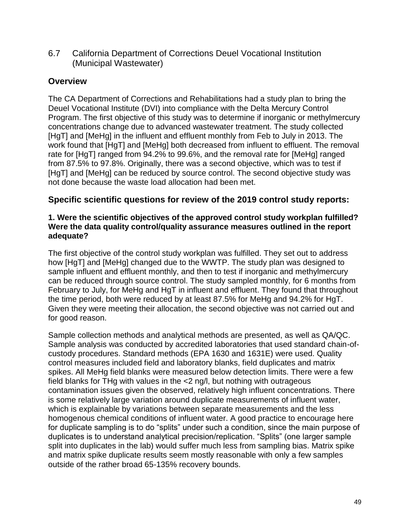<span id="page-48-0"></span>6.7 California Department of Corrections Deuel Vocational Institution (Municipal Wastewater)

## **Overview**

The CA Department of Corrections and Rehabilitations had a study plan to bring the Deuel Vocational Institute (DVI) into compliance with the Delta Mercury Control Program. The first objective of this study was to determine if inorganic or methylmercury concentrations change due to advanced wastewater treatment. The study collected [HgT] and [MeHg] in the influent and effluent monthly from Feb to July in 2013. The work found that [HgT] and [MeHg] both decreased from influent to effluent. The removal rate for [HgT] ranged from 94.2% to 99.6%, and the removal rate for [MeHg] ranged from 87.5% to 97.8%. Originally, there was a second objective, which was to test if [HgT] and [MeHg] can be reduced by source control. The second objective study was not done because the waste load allocation had been met.

## **Specific scientific questions for review of the 2019 control study reports:**

#### **1. Were the scientific objectives of the approved control study workplan fulfilled? Were the data quality control/quality assurance measures outlined in the report adequate?**

The first objective of the control study workplan was fulfilled. They set out to address how [HgT] and [MeHg] changed due to the WWTP. The study plan was designed to sample influent and effluent monthly, and then to test if inorganic and methylmercury can be reduced through source control. The study sampled monthly, for 6 months from February to July, for MeHg and HgT in influent and effluent. They found that throughout the time period, both were reduced by at least 87.5% for MeHg and 94.2% for HgT. Given they were meeting their allocation, the second objective was not carried out and for good reason.

Sample collection methods and analytical methods are presented, as well as QA/QC. Sample analysis was conducted by accredited laboratories that used standard chain-ofcustody procedures. Standard methods (EPA 1630 and 1631E) were used. Quality control measures included field and laboratory blanks, field duplicates and matrix spikes. All MeHg field blanks were measured below detection limits. There were a few field blanks for THg with values in the <2 ng/l, but nothing with outrageous contamination issues given the observed, relatively high influent concentrations. There is some relatively large variation around duplicate measurements of influent water, which is explainable by variations between separate measurements and the less homogenous chemical conditions of influent water. A good practice to encourage here for duplicate sampling is to do "splits" under such a condition, since the main purpose of duplicates is to understand analytical precision/replication. "Splits" (one larger sample split into duplicates in the lab) would suffer much less from sampling bias. Matrix spike and matrix spike duplicate results seem mostly reasonable with only a few samples outside of the rather broad 65-135% recovery bounds.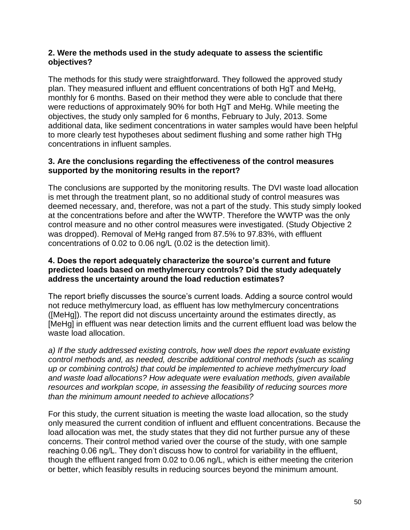## **2. Were the methods used in the study adequate to assess the scientific objectives?**

The methods for this study were straightforward. They followed the approved study plan. They measured influent and effluent concentrations of both HgT and MeHg, monthly for 6 months. Based on their method they were able to conclude that there were reductions of approximately 90% for both HgT and MeHg. While meeting the objectives, the study only sampled for 6 months, February to July, 2013. Some additional data, like sediment concentrations in water samples would have been helpful to more clearly test hypotheses about sediment flushing and some rather high THg concentrations in influent samples.

## **3. Are the conclusions regarding the effectiveness of the control measures supported by the monitoring results in the report?**

The conclusions are supported by the monitoring results. The DVI waste load allocation is met through the treatment plant, so no additional study of control measures was deemed necessary, and, therefore, was not a part of the study. This study simply looked at the concentrations before and after the WWTP. Therefore the WWTP was the only control measure and no other control measures were investigated. (Study Objective 2 was dropped). Removal of MeHg ranged from 87.5% to 97.83%, with effluent concentrations of 0.02 to 0.06 ng/L (0.02 is the detection limit).

## **4. Does the report adequately characterize the source's current and future predicted loads based on methylmercury controls? Did the study adequately address the uncertainty around the load reduction estimates?**

The report briefly discusses the source's current loads. Adding a source control would not reduce methylmercury load, as effluent has low methylmercury concentrations ([MeHg]). The report did not discuss uncertainty around the estimates directly, as [MeHg] in effluent was near detection limits and the current effluent load was below the waste load allocation.

*a) If the study addressed existing controls, how well does the report evaluate existing control methods and, as needed, describe additional control methods (such as scaling up or combining controls) that could be implemented to achieve methylmercury load and waste load allocations? How adequate were evaluation methods, given available resources and workplan scope, in assessing the feasibility of reducing sources more than the minimum amount needed to achieve allocations?*

For this study, the current situation is meeting the waste load allocation, so the study only measured the current condition of influent and effluent concentrations. Because the load allocation was met, the study states that they did not further pursue any of these concerns. Their control method varied over the course of the study, with one sample reaching 0.06 ng/L. They don't discuss how to control for variability in the effluent, though the effluent ranged from 0.02 to 0.06 ng/L, which is either meeting the criterion or better, which feasibly results in reducing sources beyond the minimum amount.